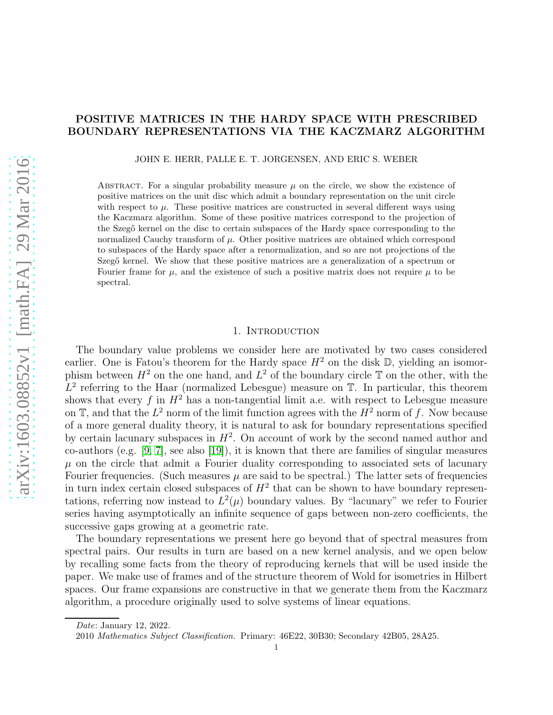## POSITIVE MATRICES IN THE HARDY SPACE WITH PRESCRIBED BOUNDARY REPRESENTATIONS VIA THE KACZMARZ ALGORITHM

JOHN E. HERR, PALLE E. T. JORGENSEN, AND ERIC S. WEBER

ABSTRACT. For a singular probability measure  $\mu$  on the circle, we show the existence of positive matrices on the unit disc which admit a boundary representation on the unit circle with respect to  $\mu$ . These positive matrices are constructed in several different ways using the Kaczmarz algorithm. Some of these positive matrices correspond to the projection of the Szegő kernel on the disc to certain subspaces of the Hardy space corresponding to the normalized Cauchy transform of  $\mu$ . Other positive matrices are obtained which correspond to subspaces of the Hardy space after a renormalization, and so are not projections of the Szegő kernel. We show that these positive matrices are a generalization of a spectrum or Fourier frame for  $\mu$ , and the existence of such a positive matrix does not require  $\mu$  to be spectral.

### 1. INTRODUCTION

The boundary value problems we consider here are motivated by two cases considered earlier. One is Fatou's theorem for the Hardy space  $H^2$  on the disk  $\mathbb D$ , yielding an isomorphism between  $H^2$  on the one hand, and  $L^2$  of the boundary circle  $\mathbb T$  on the other, with the  $L^2$  referring to the Haar (normalized Lebesgue) measure on  $\mathbb{T}$ . In particular, this theorem shows that every f in  $H^2$  has a non-tangential limit a.e. with respect to Lebesgue measure on  $\mathbb{T}$ , and that the  $L^2$  norm of the limit function agrees with the  $H^2$  norm of f. Now because of a more general duality theory, it is natural to ask for boundary representations specified by certain lacunary subspaces in  $H^2$ . On account of work by the second named author and co-authors (e.g. [\[9,](#page-21-0) [7\]](#page-21-1), see also [\[19\]](#page-21-2)), it is known that there are families of singular measures  $\mu$  on the circle that admit a Fourier duality corresponding to associated sets of lacunary Fourier frequencies. (Such measures  $\mu$  are said to be spectral.) The latter sets of frequencies in turn index certain closed subspaces of  $H^2$  that can be shown to have boundary representations, referring now instead to  $L^2(\mu)$  boundary values. By "lacunary" we refer to Fourier series having asymptotically an infinite sequence of gaps between non-zero coefficients, the successive gaps growing at a geometric rate.

The boundary representations we present here go beyond that of spectral measures from spectral pairs. Our results in turn are based on a new kernel analysis, and we open below by recalling some facts from the theory of reproducing kernels that will be used inside the paper. We make use of frames and of the structure theorem of Wold for isometries in Hilbert spaces. Our frame expansions are constructive in that we generate them from the Kaczmarz algorithm, a procedure originally used to solve systems of linear equations.

*Date*: January 12, 2022.

<sup>2010</sup> *Mathematics Subject Classification.* Primary: 46E22, 30B30; Secondary 42B05, 28A25.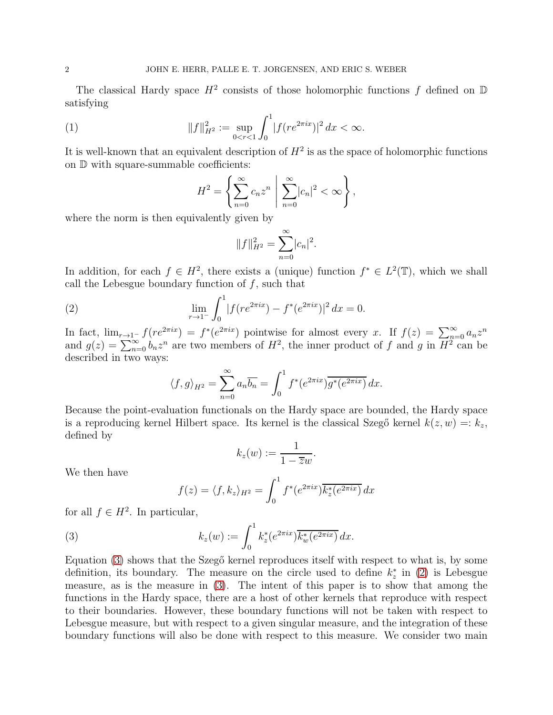The classical Hardy space  $H^2$  consists of those holomorphic functions f defined on  $D$ satisfying

(1) 
$$
||f||_{H^2}^2 := \sup_{0 < r < 1} \int_0^1 |f(re^{2\pi ix})|^2 \, dx < \infty.
$$

It is well-known that an equivalent description of  $H^2$  is as the space of holomorphic functions on D with square-summable coefficients:

$$
H^{2} = \left\{ \sum_{n=0}^{\infty} c_n z^n \middle| \sum_{n=0}^{\infty} |c_n|^2 < \infty \right\},\,
$$

where the norm is then equivalently given by

$$
||f||_{H^2}^2 = \sum_{n=0}^{\infty} |c_n|^2.
$$

In addition, for each  $f \in H^2$ , there exists a (unique) function  $f^* \in L^2(\mathbb{T})$ , which we shall call the Lebesgue boundary function of  $f$ , such that

(2) 
$$
\lim_{r \to 1^{-}} \int_{0}^{1} |f(re^{2\pi ix}) - f^{*}(e^{2\pi ix})|^{2} dx = 0.
$$

In fact,  $\lim_{r\to 1^-} f(re^{2\pi ix}) = f^*(e^{2\pi ix})$  pointwise for almost every x. If  $f(z) = \sum_{n=0}^{\infty} a_n z^n$ and  $g(z) = \sum_{n=0}^{\infty} b_n z^n$  are two members of  $H^2$ , the inner product of f and g in  $\overline{H}^{2-\infty}$  and be described in two ways:

<span id="page-1-1"></span>
$$
\langle f, g \rangle_{H^2} = \sum_{n=0}^{\infty} a_n \overline{b_n} = \int_0^1 f^*(e^{2\pi i x}) \overline{g^*(e^{2\pi i x})} dx.
$$

Because the point-evaluation functionals on the Hardy space are bounded, the Hardy space is a reproducing kernel Hilbert space. Its kernel is the classical Szegő kernel  $k(z, w) =: k_z$ , defined by

$$
k_z(w) := \frac{1}{1 - \overline{z}w}.
$$

We then have

<span id="page-1-0"></span>
$$
f(z) = \langle f, k_z \rangle_{H^2} = \int_0^1 f^*(e^{2\pi ix}) \overline{k_z^*(e^{2\pi ix})} dx
$$

for all  $f \in H^2$ . In particular,

(3) 
$$
k_z(w) := \int_0^1 k_z^*(e^{2\pi ix}) \overline{k_w^*(e^{2\pi ix})} dx.
$$

Equation [\(3\)](#page-1-0) shows that the Szegő kernel reproduces itself with respect to what is, by some definition, its boundary. The measure on the circle used to define  $k_z^*$  in [\(2\)](#page-1-1) is Lebesgue measure, as is the measure in [\(3\)](#page-1-0). The intent of this paper is to show that among the functions in the Hardy space, there are a host of other kernels that reproduce with respect to their boundaries. However, these boundary functions will not be taken with respect to Lebesgue measure, but with respect to a given singular measure, and the integration of these boundary functions will also be done with respect to this measure. We consider two main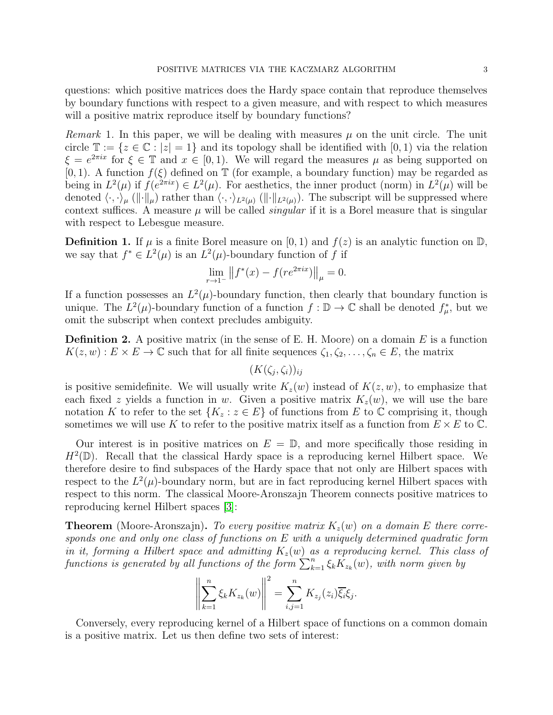questions: which positive matrices does the Hardy space contain that reproduce themselves by boundary functions with respect to a given measure, and with respect to which measures will a positive matrix reproduce itself by boundary functions?

*Remark* 1. In this paper, we will be dealing with measures  $\mu$  on the unit circle. The unit circle  $\mathbb{T} := \{z \in \mathbb{C} : |z| = 1\}$  and its topology shall be identified with  $[0, 1)$  via the relation  $\xi = e^{2\pi ix}$  for  $\xi \in \mathbb{T}$  and  $x \in [0,1)$ . We will regard the measures  $\mu$  as being supported on [0, 1]. A function  $f(\xi)$  defined on  $\mathbb T$  (for example, a boundary function) may be regarded as being in  $L^2(\mu)$  if  $f(e^{2\pi ix}) \in L^2(\mu)$ . For aesthetics, the inner product (norm) in  $L^2(\mu)$  will be denoted  $\langle \cdot, \cdot \rangle_{\mu}$  ( $\|\cdot\|_{\mu}$ ) rather than  $\langle \cdot, \cdot \rangle_{L^2(\mu)}$  ( $\|\cdot\|_{L^2(\mu)}$ ). The subscript will be suppressed where context suffices. A measure  $\mu$  will be called *singular* if it is a Borel measure that is singular with respect to Lebesgue measure.

**Definition 1.** If  $\mu$  is a finite Borel measure on [0, 1) and  $f(z)$  is an analytic function on  $\mathbb{D}$ , we say that  $f^* \in L^2(\mu)$  is an  $L^2(\mu)$ -boundary function of f if

$$
\lim_{r \to 1^-} ||f^*(x) - f(re^{2\pi ix})||_{\mu} = 0.
$$

If a function possesses an  $L^2(\mu)$ -boundary function, then clearly that boundary function is unique. The  $L^2(\mu)$ -boundary function of a function  $f : \mathbb{D} \to \mathbb{C}$  shall be denoted  $f^*_\mu$ , but we omit the subscript when context precludes ambiguity.

**Definition 2.** A positive matrix (in the sense of E. H. Moore) on a domain  $E$  is a function  $K(z, w) : E \times E \to \mathbb{C}$  such that for all finite sequences  $\zeta_1, \zeta_2, \ldots, \zeta_n \in E$ , the matrix

 $(K(\zeta_j,\zeta_i))_{ij}$ 

is positive semidefinite. We will usually write  $K_z(w)$  instead of  $K(z, w)$ , to emphasize that each fixed z yields a function in w. Given a positive matrix  $K_z(w)$ , we will use the bare notation K to refer to the set  $\{K_z : z \in E\}$  of functions from E to C comprising it, though sometimes we will use K to refer to the positive matrix itself as a function from  $E \times E$  to C.

Our interest is in positive matrices on  $E = \mathbb{D}$ , and more specifically those residing in  $H^2(\mathbb{D})$ . Recall that the classical Hardy space is a reproducing kernel Hilbert space. We therefore desire to find subspaces of the Hardy space that not only are Hilbert spaces with respect to the  $L^2(\mu)$ -boundary norm, but are in fact reproducing kernel Hilbert spaces with respect to this norm. The classical Moore-Aronszajn Theorem connects positive matrices to reproducing kernel Hilbert spaces [\[3\]](#page-21-3):

**Theorem** (Moore-Aronszajn). To every positive matrix  $K_z(w)$  on a domain E there corresponds one and only one class of functions on E with a uniquely determined quadratic form in it, forming a Hilbert space and admitting  $K_z(w)$  as a reproducing kernel. This class of functions is generated by all functions of the form  $\sum_{k=1}^{n} \xi_k \overline{K}_{z_k}(w)$ , with norm given by

$$
\left\| \sum_{k=1}^n \xi_k K_{z_k}(w) \right\|^2 = \sum_{i,j=1}^n K_{z_j}(z_i) \overline{\xi_i} \xi_j.
$$

Conversely, every reproducing kernel of a Hilbert space of functions on a common domain is a positive matrix. Let us then define two sets of interest: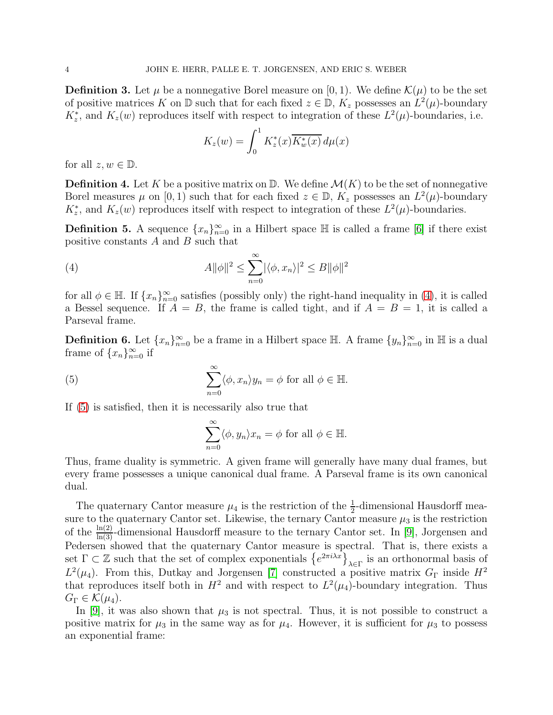**Definition 3.** Let  $\mu$  be a nonnegative Borel measure on [0, 1]. We define  $\mathcal{K}(\mu)$  to be the set of positive matrices K on  $\mathbb D$  such that for each fixed  $z \in \mathbb D$ ,  $K_z$  possesses an  $L^2(\mu)$ -boundary  $K_z^*$ , and  $K_z(w)$  reproduces itself with respect to integration of these  $L^2(\mu)$ -boundaries, i.e.

<span id="page-3-0"></span>
$$
K_z(w) = \int_0^1 K_z^*(x) \overline{K_w^*(x)} d\mu(x)
$$

for all  $z, w \in \mathbb{D}$ .

**Definition 4.** Let K be a positive matrix on  $\mathbb{D}$ . We define  $\mathcal{M}(K)$  to be the set of nonnegative Borel measures  $\mu$  on [0, 1) such that for each fixed  $z \in \mathbb{D}$ ,  $K_z$  possesses an  $L^2(\mu)$ -boundary  $K_z^*$ , and  $K_z(w)$  reproduces itself with respect to integration of these  $L^2(\mu)$ -boundaries.

**Definition 5.** A sequence  $\{x_n\}_{n=0}^{\infty}$  in a Hilbert space  $\mathbb{H}$  is called a frame [\[6\]](#page-21-4) if there exist positive constants  $A$  and  $B$  such that

(4) 
$$
A||\phi||^2 \leq \sum_{n=0}^{\infty} |\langle \phi, x_n \rangle|^2 \leq B||\phi||^2
$$

for all  $\phi \in \mathbb{H}$ . If  $\{x_n\}_{n=0}^{\infty}$  satisfies (possibly only) the right-hand inequality in [\(4\)](#page-3-0), it is called a Bessel sequence. If  $A = B$ , the frame is called tight, and if  $A = B = 1$ , it is called a Parseval frame.

**Definition 6.** Let  $\{x_n\}_{n=0}^{\infty}$  be a frame in a Hilbert space  $\mathbb{H}$ . A frame  $\{y_n\}_{n=0}^{\infty}$  in  $\mathbb{H}$  is a dual frame of  $\{x_n\}_{n=0}^{\infty}$  if

(5) 
$$
\sum_{n=0}^{\infty} \langle \phi, x_n \rangle y_n = \phi \text{ for all } \phi \in \mathbb{H}.
$$

If [\(5\)](#page-3-1) is satisfied, then it is necessarily also true that

<span id="page-3-1"></span>
$$
\sum_{n=0}^{\infty} \langle \phi, y_n \rangle x_n = \phi \text{ for all } \phi \in \mathbb{H}.
$$

Thus, frame duality is symmetric. A given frame will generally have many dual frames, but every frame possesses a unique canonical dual frame. A Parseval frame is its own canonical dual.

The quaternary Cantor measure  $\mu_4$  is the restriction of the  $\frac{1}{2}$ -dimensional Hausdorff measure to the quaternary Cantor set. Likewise, the ternary Cantor measure  $\mu_3$  is the restriction of the  $\frac{\ln(2)}{\ln(3)}$ -dimensional Hausdorff measure to the ternary Cantor set. In [\[9\]](#page-21-0), Jorgensen and Pedersen showed that the quaternary Cantor measure is spectral. That is, there exists a set  $\Gamma \subset \mathbb{Z}$  such that the set of complex exponentials  $\{e^{2\pi i \lambda x}\}_{\lambda \in \Gamma}$  is an orthonormal basis of  $L^2(\mu_4)$ . From this, Dutkay and Jorgensen [\[7\]](#page-21-1) constructed a positive matrix  $G_{\Gamma}$  inside  $H^2$ that reproduces itself both in  $H^2$  and with respect to  $L^2(\mu_4)$ -boundary integration. Thus  $G_{\Gamma} \in \mathcal{K}(\mu_4)$ .

In [\[9\]](#page-21-0), it was also shown that  $\mu_3$  is not spectral. Thus, it is not possible to construct a positive matrix for  $\mu_3$  in the same way as for  $\mu_4$ . However, it is sufficient for  $\mu_3$  to possess an exponential frame: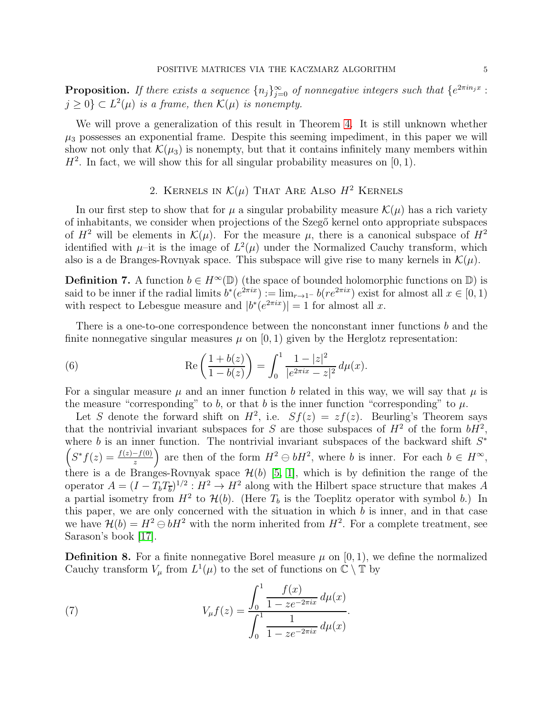**Proposition.** If there exists a sequence  $\{n_j\}_{j=0}^{\infty}$  of nonnegative integers such that  $\{e^{2\pi i n_j x}$ :  $j \geq 0$   $\subset L^2(\mu)$  is a frame, then  $\mathcal{K}(\mu)$  is nonempty.

We will prove a generalization of this result in Theorem [4.](#page-10-0) It is still unknown whether  $\mu_3$  possesses an exponential frame. Despite this seeming impediment, in this paper we will show not only that  $\mathcal{K}(\mu_3)$  is nonempty, but that it contains infinitely many members within  $H^2$ . In fact, we will show this for all singular probability measures on [0, 1).

## 2. KERNELS IN  $\mathcal{K}(\mu)$  That Are Also  $H^2$  Kernels

In our first step to show that for  $\mu$  a singular probability measure  $\mathcal{K}(\mu)$  has a rich variety of inhabitants, we consider when projections of the Szegő kernel onto appropriate subspaces of  $H^2$  will be elements in  $\mathcal{K}(\mu)$ . For the measure  $\mu$ , there is a canonical subspace of  $H^2$ identified with  $\mu$ -it is the image of  $L^2(\mu)$  under the Normalized Cauchy transform, which also is a de Branges-Rovnyak space. This subspace will give rise to many kernels in  $\mathcal{K}(\mu)$ .

**Definition 7.** A function  $b \in H^{\infty}(\mathbb{D})$  (the space of bounded holomorphic functions on  $\mathbb{D}$ ) is said to be inner if the radial limits  $b^*(e^{2\pi ix}) := \lim_{r \to 1^-} b(re^{2\pi ix})$  exist for almost all  $x \in [0,1)$ with respect to Lebesgue measure and  $|b^*(e^{2\pi ix})|=1$  for almost all x.

There is a one-to-one correspondence between the nonconstant inner functions b and the finite nonnegative singular measures  $\mu$  on [0, 1) given by the Herglotz representation:

<span id="page-4-0"></span>(6) 
$$
\operatorname{Re}\left(\frac{1+b(z)}{1-b(z)}\right) = \int_0^1 \frac{1-|z|^2}{|e^{2\pi ix}-z|^2} d\mu(x).
$$

For a singular measure  $\mu$  and an inner function b related in this way, we will say that  $\mu$  is the measure "corresponding" to b, or that b is the inner function "corresponding" to  $\mu$ .

Let S denote the forward shift on  $H^2$ , i.e.  $Sf(z) = zf(z)$ . Beurling's Theorem says that the nontrivial invariant subspaces for S are those subspaces of  $H^2$  of the form  $bH^2$ , where b is an inner function. The nontrivial invariant subspaces of the backward shift  $S^*$  $\left(S^*f(z) = \frac{f(z)-f(0)}{z}\right)$  are then of the form  $H^2 \ominus bH^2$ , where b is inner. For each  $b \in H^{\infty}$ , there is a de Branges-Rovnyak space  $\mathcal{H}(b)$  [\[5,](#page-21-5) [1\]](#page-21-6), which is by definition the range of the operator  $A = (I - T_b T_{\overline{b}})^{1/2}$ :  $H^2 \to H^2$  along with the Hilbert space structure that makes A a partial isometry from  $H^2$  to  $\mathcal{H}(b)$ . (Here  $T_b$  is the Toeplitz operator with symbol b.) In this paper, we are only concerned with the situation in which  $b$  is inner, and in that case we have  $\mathcal{H}(b) = H^2 \ominus bH^2$  with the norm inherited from  $H^2$ . For a complete treatment, see Sarason's book [\[17\]](#page-21-7).

**Definition 8.** For a finite nonnegative Borel measure  $\mu$  on [0, 1], we define the normalized Cauchy transform  $V_\mu$  from  $L^1(\mu)$  to the set of functions on  $\mathbb{C} \setminus \mathbb{T}$  by

<span id="page-4-1"></span>(7) 
$$
V_{\mu}f(z) = \frac{\int_0^1 \frac{f(x)}{1 - ze^{-2\pi ix}} d\mu(x)}{\int_0^1 \frac{1}{1 - ze^{-2\pi ix}} d\mu(x)}.
$$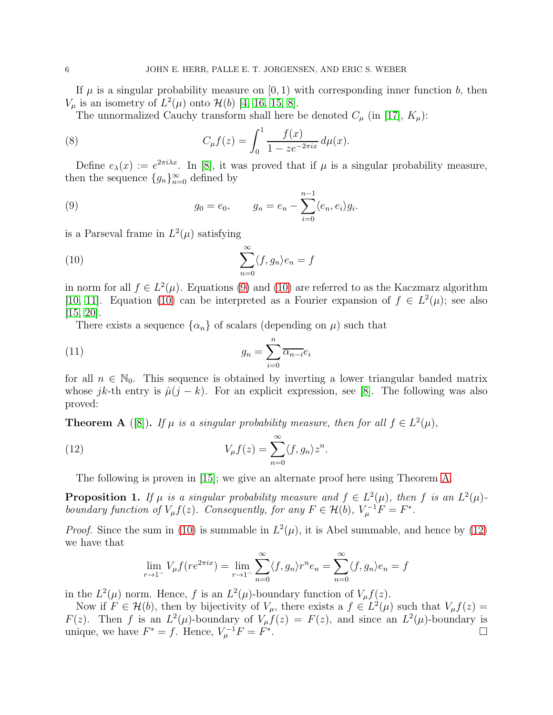If  $\mu$  is a singular probability measure on [0, 1) with corresponding inner function b, then  $V_{\mu}$  is an isometry of  $L^2(\mu)$  onto  $\mathcal{H}(b)$  [\[4,](#page-21-8) [16,](#page-21-9) [15,](#page-21-10) [8\]](#page-21-11).

<span id="page-5-5"></span>The unnormalized Cauchy transform shall here be denoted  $C_{\mu}$  (in [\[17\]](#page-21-7),  $K_{\mu}$ ):

(8) 
$$
C_{\mu}f(z) = \int_0^1 \frac{f(x)}{1 - ze^{-2\pi ix}} d\mu(x).
$$

Define  $e_{\lambda}(x) := e^{2\pi i \lambda x}$ . In [\[8\]](#page-21-11), it was proved that if  $\mu$  is a singular probability measure, then the sequence  $\{g_n\}_{n=0}^{\infty}$  defined by

<span id="page-5-0"></span>(9) 
$$
g_0 = e_0
$$
,  $g_n = e_n - \sum_{i=0}^{n-1} \langle e_n, e_i \rangle g_i$ .

is a Parseval frame in  $L^2(\mu)$  satisfying

<span id="page-5-1"></span>(10) 
$$
\sum_{n=0}^{\infty} \langle f, g_n \rangle e_n = f
$$

in norm for all  $f \in L^2(\mu)$ . Equations [\(9\)](#page-5-0) and [\(10\)](#page-5-1) are referred to as the Kaczmarz algorithm [\[10,](#page-21-12) [11\]](#page-21-13). Equation [\(10\)](#page-5-1) can be interpreted as a Fourier expansion of  $f \in L^2(\mu)$ ; see also [\[15,](#page-21-10) [20\]](#page-21-14).

<span id="page-5-6"></span>There exists a sequence  $\{\alpha_n\}$  of scalars (depending on  $\mu$ ) such that

(11) 
$$
g_n = \sum_{i=0}^n \overline{\alpha_{n-i}} e_i
$$

for all  $n \in \mathbb{N}_0$ . This sequence is obtained by inverting a lower triangular banded matrix whose jk-th entry is  $\hat{\mu}(j - k)$ . For an explicit expression, see [\[8\]](#page-21-11). The following was also proved:

<span id="page-5-2"></span>**Theorem A** ([\[8\]](#page-21-11)). If  $\mu$  is a singular probability measure, then for all  $f \in L^2(\mu)$ ,

(12) 
$$
V_{\mu}f(z) = \sum_{n=0}^{\infty} \langle f, g_n \rangle z^n.
$$

The following is proven in [\[15\]](#page-21-10); we give an alternate proof here using Theorem [A.](#page-5-2)

<span id="page-5-4"></span>**Proposition 1.** If  $\mu$  is a singular probability measure and  $f \in L^2(\mu)$ , then f is an  $L^2(\mu)$ boundary function of  $V_{\mu}f(z)$ . Consequently, for any  $F \in \mathcal{H}(b)$ ,  $V_{\mu}^{-1}F = F^*$ .

*Proof.* Since the sum in [\(10\)](#page-5-1) is summable in  $L^2(\mu)$ , it is Abel summable, and hence by [\(12\)](#page-5-3) we have that

<span id="page-5-3"></span>
$$
\lim_{r \to 1^{-}} V_{\mu} f(re^{2\pi ix}) = \lim_{r \to 1^{-}} \sum_{n=0}^{\infty} \langle f, g_{n} \rangle r^{n} e_{n} = \sum_{n=0}^{\infty} \langle f, g_{n} \rangle e_{n} = f
$$

in the  $L^2(\mu)$  norm. Hence, f is an  $L^2(\mu)$ -boundary function of  $V_\mu f(z)$ .

Now if  $F \in \mathcal{H}(b)$ , then by bijectivity of  $V_{\mu}$ , there exists a  $f \in L^2(\mu)$  such that  $V_{\mu}f(z) =$  $F(z)$ . Then f is an  $L^2(\mu)$ -boundary of  $V_\mu f(z) = F(z)$ , and since an  $L^2(\mu)$ -boundary is unique, we have  $F^* = f$ . Hence,  $V_{\mu}^{-1}F = F^*$ .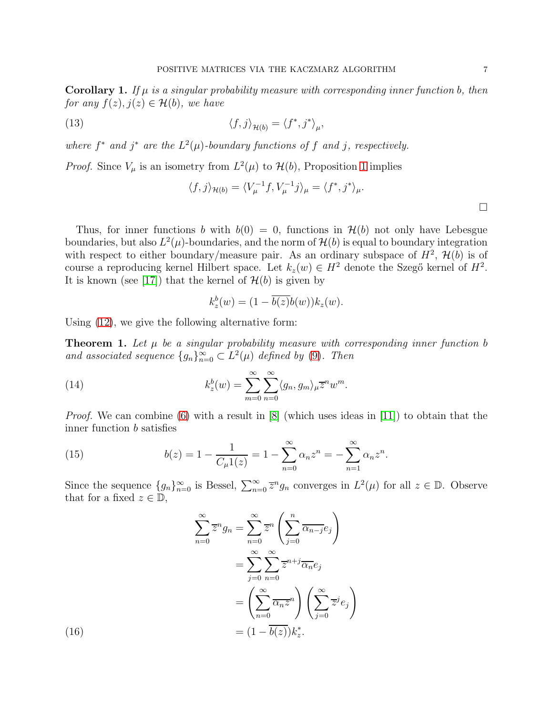<span id="page-6-3"></span>**Corollary 1.** If  $\mu$  is a singular probability measure with corresponding inner function b, then for any  $f(z), j(z) \in \mathcal{H}(b)$ , we have

(13) 
$$
\langle f, j \rangle_{\mathcal{H}(b)} = \langle f^*, j^* \rangle_{\mu},
$$

where  $f^*$  and  $j^*$  are the  $L^2(\mu)$ -boundary functions of f and j, respectively.

*Proof.* Since  $V_{\mu}$  is an isometry from  $L^2(\mu)$  to  $\mathcal{H}(b)$ , Proposition [1](#page-5-4) implies

$$
\langle f, j \rangle_{\mathcal{H}(b)} = \langle V_{\mu}^{-1} f, V_{\mu}^{-1} j \rangle_{\mu} = \langle f^*, j^* \rangle_{\mu}.
$$

Thus, for inner functions b with  $b(0) = 0$ , functions in  $\mathcal{H}(b)$  not only have Lebesgue boundaries, but also  $L^2(\mu)$ -boundaries, and the norm of  $\mathcal{H}(b)$  is equal to boundary integration with respect to either boundary/measure pair. As an ordinary subspace of  $H^2$ ,  $\mathcal{H}(b)$  is of course a reproducing kernel Hilbert space. Let  $k_z(w) \in H^2$  denote the Szegő kernel of  $H^2$ . It is known (see [\[17\]](#page-21-7)) that the kernel of  $\mathcal{H}(b)$  is given by

<span id="page-6-1"></span>
$$
k_z^b(w) = (1 - \overline{b(z)}b(w))k_z(w).
$$

Using [\(12\)](#page-5-3), we give the following alternative form:

<span id="page-6-4"></span>**Theorem 1.** Let  $\mu$  be a singular probability measure with corresponding inner function b and associated sequence  $\{g_n\}_{n=0}^{\infty} \subset L^2(\mu)$  defined by [\(9\)](#page-5-0). Then

(14) 
$$
k_z^b(w) = \sum_{m=0}^{\infty} \sum_{n=0}^{\infty} \langle g_n, g_m \rangle_{\mu} \overline{z}^n w^m.
$$

*Proof.* We can combine [\(6\)](#page-4-0) with a result in  $[8]$  (which uses ideas in [\[11\]](#page-21-13)) to obtain that the inner function b satisfies

<span id="page-6-0"></span>(15) 
$$
b(z) = 1 - \frac{1}{C_{\mu}1(z)} = 1 - \sum_{n=0}^{\infty} \alpha_n z^n = -\sum_{n=1}^{\infty} \alpha_n z^n.
$$

Since the sequence  $\{g_n\}_{n=0}^{\infty}$  is Bessel,  $\sum_{n=0}^{\infty} \overline{z}^n g_n$  converges in  $L^2(\mu)$  for all  $z \in \mathbb{D}$ . Observe that for a fixed  $z \in \mathbb{D}$ ,

<span id="page-6-2"></span>
$$
\sum_{n=0}^{\infty} \overline{z}^n g_n = \sum_{n=0}^{\infty} \overline{z}^n \left( \sum_{j=0}^n \overline{\alpha_{n-j}} e_j \right)
$$

$$
= \sum_{j=0}^{\infty} \sum_{n=0}^{\infty} \overline{z}^{n+j} \overline{\alpha_n} e_j
$$

$$
= \left( \sum_{n=0}^{\infty} \overline{\alpha_n} \overline{z}^n \right) \left( \sum_{j=0}^{\infty} \overline{z}^j e_j \right)
$$

$$
= (1 - \overline{b(z)}) k_z^*.
$$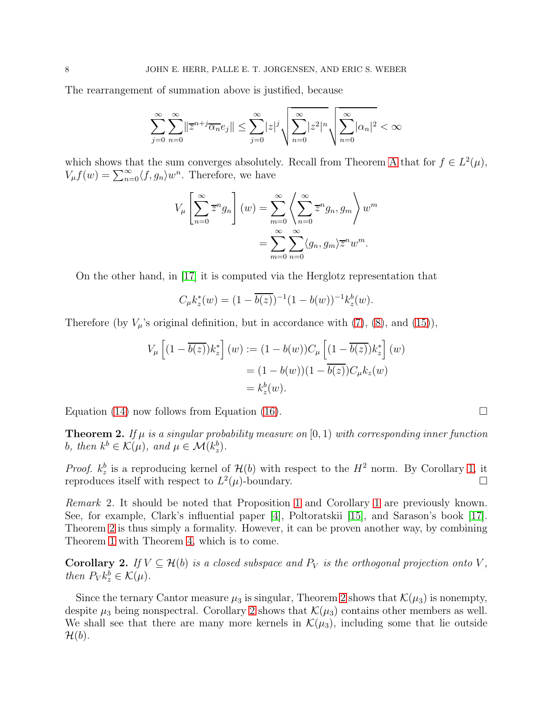The rearrangement of summation above is justified, because

$$
\sum_{j=0}^{\infty} \sum_{n=0}^{\infty} ||\overline{z}^{n+j} \overline{\alpha_n} e_j|| \leq \sum_{j=0}^{\infty} |z|^j \sqrt{\sum_{n=0}^{\infty} |z^2|^n} \sqrt{\sum_{n=0}^{\infty} |\alpha_n|^2} < \infty
$$

which shows that the sum converges absolutely. Recall from Theorem [A](#page-5-2) that for  $f \in L^2(\mu)$ ,  $V_{\mu}f(w) = \sum_{n=0}^{\infty} \langle f, g_n \rangle w^n$ . Therefore, we have

$$
V_{\mu}\left[\sum_{n=0}^{\infty}\overline{z}^{n}g_{n}\right](w) = \sum_{m=0}^{\infty}\left\langle\sum_{n=0}^{\infty}\overline{z}^{n}g_{n},g_{m}\right\rangle w^{m}
$$

$$
=\sum_{m=0}^{\infty}\sum_{n=0}^{\infty}\langle g_{n},g_{m}\rangle\overline{z}^{n}w^{m}.
$$

On the other hand, in [\[17\]](#page-21-7) it is computed via the Herglotz representation that

$$
C_{\mu}k_z^*(w) = (1 - \overline{b(z)})^{-1}(1 - b(w))^{-1}k_z^b(w).
$$

Therefore (by  $V_{\mu}$ 's original definition, but in accordance with [\(7\)](#page-4-1), [\(8\)](#page-5-5), and [\(15\)](#page-6-0)),

$$
V_{\mu}\left[ (1 - \overline{b(z)})k_z^* \right](w) := (1 - b(w))C_{\mu}\left[ (1 - \overline{b(z)})k_z^* \right](w)
$$

$$
= (1 - b(w))(1 - \overline{b(z)})C_{\mu}k_z(w)
$$

$$
= k_z^b(w).
$$

Equation [\(14\)](#page-6-1) now follows from Equation [\(16\)](#page-6-2).  $\Box$ 

<span id="page-7-0"></span>**Theorem 2.** If  $\mu$  is a singular probability measure on [0, 1) with corresponding inner function b, then  $k^b \in \mathcal{K}(\mu)$ , and  $\mu \in \mathcal{M}(k_z^b)$ .

*Proof.*  $k_z^b$  is a reproducing kernel of  $\mathcal{H}(b)$  with respect to the  $H^2$  norm. By Corollary [1,](#page-6-3) it reproduces itself with respect to  $L^2$  $(\mu)$ -boundary.

Remark 2. It should be noted that Proposition [1](#page-5-4) and Corollary [1](#page-6-3) are previously known. See, for example, Clark's influential paper [\[4\]](#page-21-8), Poltoratskii [\[15\]](#page-21-10), and Sarason's book [\[17\]](#page-21-7). Theorem [2](#page-7-0) is thus simply a formality. However, it can be proven another way, by combining Theorem [1](#page-6-4) with Theorem [4,](#page-10-0) which is to come.

<span id="page-7-1"></span>**Corollary 2.** If  $V \subseteq \mathcal{H}(b)$  is a closed subspace and  $P_V$  is the orthogonal projection onto V, then  $P_V k_z^b \in \mathcal{K}(\mu)$ .

Since the ternary Cantor measure  $\mu_3$  is singular, Theorem [2](#page-7-0) shows that  $\mathcal{K}(\mu_3)$  is nonempty, despite  $\mu_3$  being nonspectral. Corollary [2](#page-7-1) shows that  $\mathcal{K}(\mu_3)$  contains other members as well. We shall see that there are many more kernels in  $\mathcal{K}(\mu_3)$ , including some that lie outside  $\mathcal{H}(b)$ .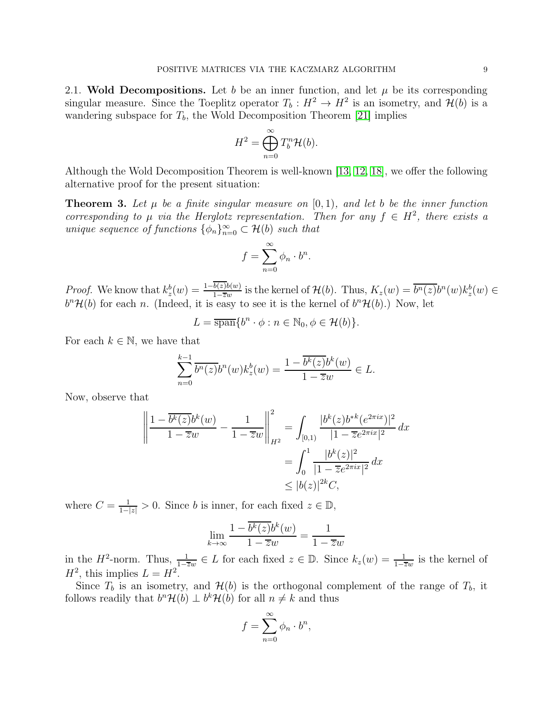2.1. Wold Decompositions. Let b be an inner function, and let  $\mu$  be its corresponding singular measure. Since the Toeplitz operator  $T_b: H^2 \to H^2$  is an isometry, and  $\mathcal{H}(b)$  is a wandering subspace for  $T_b$ , the Wold Decomposition Theorem [\[21\]](#page-21-15) implies

$$
H^2 = \bigoplus_{n=0}^{\infty} T_b^n \mathcal{H}(b).
$$

Although the Wold Decomposition Theorem is well-known [\[13,](#page-21-16) [12,](#page-21-17) [18\]](#page-21-18), we offer the following alternative proof for the present situation:

**Theorem 3.** Let  $\mu$  be a finite singular measure on [0,1], and let b be the inner function corresponding to  $\mu$  via the Herglotz representation. Then for any  $f \in H^2$ , there exists a unique sequence of functions  $\{\phi_n\}_{n=0}^{\infty} \subset \mathcal{H}(b)$  such that

$$
f = \sum_{n=0}^{\infty} \phi_n \cdot b^n.
$$

*Proof.* We know that  $k_z^b(w) = \frac{1 - b(z)b(w)}{1 - \overline{z}w}$  is the kernel of  $\mathcal{H}(b)$ . Thus,  $K_z(w) = \overline{b^n(z)}b^n(w)k_z^b(w) \in$  $b^{n} \mathcal{H}(b)$  for each n. (Indeed, it is easy to see it is the kernel of  $b^{n} \mathcal{H}(b)$ .) Now, let

$$
L = \overline{\operatorname{span}}\{b^n \cdot \phi : n \in \mathbb{N}_0, \phi \in \mathcal{H}(b)\}.
$$

For each  $k \in \mathbb{N}$ , we have that

$$
\sum_{n=0}^{k-1} \overline{b^n(z)} b^n(w) k_z^b(w) = \frac{1 - \overline{b^k(z)} b^k(w)}{1 - \overline{z}w} \in L.
$$

Now, observe that

$$
\left\| \frac{1 - \overline{b^k(z)} b^k(w)}{1 - \overline{z}w} - \frac{1}{1 - \overline{z}w} \right\|_{H^2}^2 = \int_{[0,1)} \frac{|b^k(z) b^{*k}(e^{2\pi i x})|^2}{|1 - \overline{z}e^{2\pi i x}|^2} dx
$$

$$
= \int_0^1 \frac{|b^k(z)|^2}{|1 - \overline{z}e^{2\pi i x}|^2} dx
$$

$$
\leq |b(z)|^{2k} C,
$$

where  $C = \frac{1}{1-|z|} > 0$ . Since b is inner, for each fixed  $z \in \mathbb{D}$ ,

$$
\lim_{k \to \infty} \frac{1 - \overline{b^k(z)} b^k(w)}{1 - \overline{z}w} = \frac{1}{1 - \overline{z}w}
$$

in the H<sup>2</sup>-norm. Thus,  $\frac{1}{1-\overline{z}w} \in L$  for each fixed  $z \in \mathbb{D}$ . Since  $k_z(w) = \frac{1}{1-\overline{z}w}$  is the kernel of  $H^2$ , this implies  $L = H^2$ .

Since  $T_b$  is an isometry, and  $\mathcal{H}(b)$  is the orthogonal complement of the range of  $T_b$ , it follows readily that  $b^n \mathcal{H}(b) \perp b^k \mathcal{H}(b)$  for all  $n \neq k$  and thus

$$
f = \sum_{n=0}^{\infty} \phi_n \cdot b^n,
$$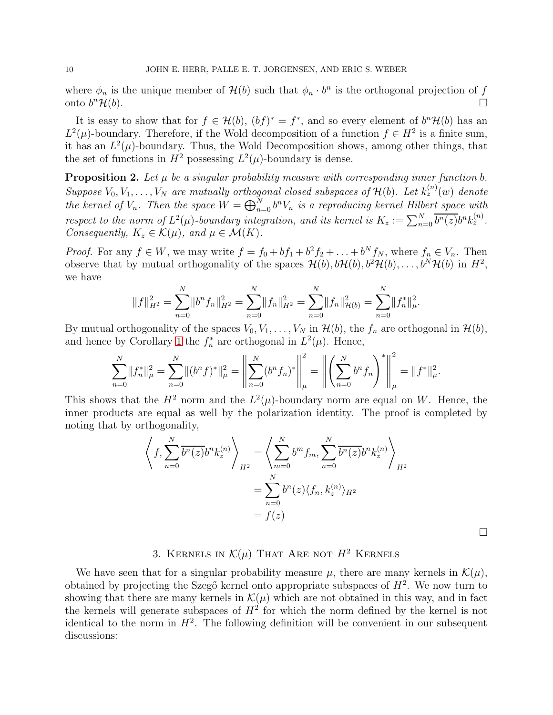where  $\phi_n$  is the unique member of  $\mathcal{H}(b)$  such that  $\phi_n \cdot b^n$  is the orthogonal projection of f onto  $b^n\mathcal{H}(b)$ .  ${}^{n}\mathcal{H}(b).$ 

It is easy to show that for  $f \in \mathcal{H}(b)$ ,  $(bf)^* = f^*$ , and so every element of  $b^n\mathcal{H}(b)$  has an  $L^2(\mu)$ -boundary. Therefore, if the Wold decomposition of a function  $f \in H^2$  is a finite sum, it has an  $L^2(\mu)$ -boundary. Thus, the Wold Decomposition shows, among other things, that the set of functions in  $H^2$  possessing  $L^2(\mu)$ -boundary is dense.

**Proposition 2.** Let  $\mu$  be a singular probability measure with corresponding inner function b. Suppose  $V_0, V_1, \ldots, V_N$  are mutually orthogonal closed subspaces of  $\mathcal{H}(b)$ . Let  $k_z^{(n)}(w)$  denote the kernel of  $V_n$ . Then the space  $W = \bigoplus_{n=0}^{N} b^n V_n$  is a reproducing kernel Hilbert space with respect to the norm of  $L^2(\mu)$ -boundary integration, and its kernel is  $K_z := \sum_{n=0}^N \overline{b^n(z)} b^n k_z^{(n)}$ . Consequently,  $K_z \in \mathcal{K}(\mu)$ , and  $\mu \in \mathcal{M}(K)$ .

*Proof.* For any  $f \in W$ , we may write  $f = f_0 + bf_1 + b^2f_2 + \ldots + b^Nf_N$ , where  $f_n \in V_n$ . Then observe that by mutual orthogonality of the spaces  $\mathcal{H}(b), b\mathcal{H}(b), b^2\mathcal{H}(b), \ldots, b^N\mathcal{H}(b)$  in  $H^2$ , we have

$$
||f||_{H^2}^2 = \sum_{n=0}^N ||b^n f_n||_{H^2}^2 = \sum_{n=0}^N ||f_n||_{H^2}^2 = \sum_{n=0}^N ||f_n||_{\mathcal{H}(b)}^2 = \sum_{n=0}^N ||f_n^*||_{\mu}^2.
$$

By mutual orthogonality of the spaces  $V_0, V_1, \ldots, V_N$  in  $\mathcal{H}(b)$ , the  $f_n$  are orthogonal in  $\mathcal{H}(b)$ , and hence by Corollary [1](#page-6-3) the  $f_n^*$  are orthogonal in  $L^2(\mu)$ . Hence,

$$
\sum_{n=0}^N \|f_n^*\|_{\mu}^2 = \sum_{n=0}^N \|(b^n f)^*\|_{\mu}^2 = \left\|\sum_{n=0}^N (b^n f_n)^*\right\|_{\mu}^2 = \left\|\left(\sum_{n=0}^N b^n f_n\right)^*\right\|_{\mu}^2 = \|f^*\|_{\mu}^2.
$$

This shows that the  $H^2$  norm and the  $L^2(\mu)$ -boundary norm are equal on W. Hence, the inner products are equal as well by the polarization identity. The proof is completed by noting that by orthogonality,

$$
\left\langle f, \sum_{n=0}^{N} \overline{b^n(z)} b^n k_z^{(n)} \right\rangle_{H^2} = \left\langle \sum_{m=0}^{N} b^m f_m, \sum_{n=0}^{N} \overline{b^n(z)} b^n k_z^{(n)} \right\rangle_{H^2}
$$

$$
= \sum_{n=0}^{N} b^n(z) \langle f_n, k_z^{(n)} \rangle_{H^2}
$$

$$
= f(z)
$$

 $\Box$ 

# 3. KERNELS IN  $\mathcal{K}(\mu)$  That Are not  $H^2$  Kernels

We have seen that for a singular probability measure  $\mu$ , there are many kernels in  $\mathcal{K}(\mu)$ , obtained by projecting the Szegő kernel onto appropriate subspaces of  $H^2$ . We now turn to showing that there are many kernels in  $\mathcal{K}(\mu)$  which are not obtained in this way, and in fact the kernels will generate subspaces of  $H^2$  for which the norm defined by the kernel is not identical to the norm in  $H^2$ . The following definition will be convenient in our subsequent discussions: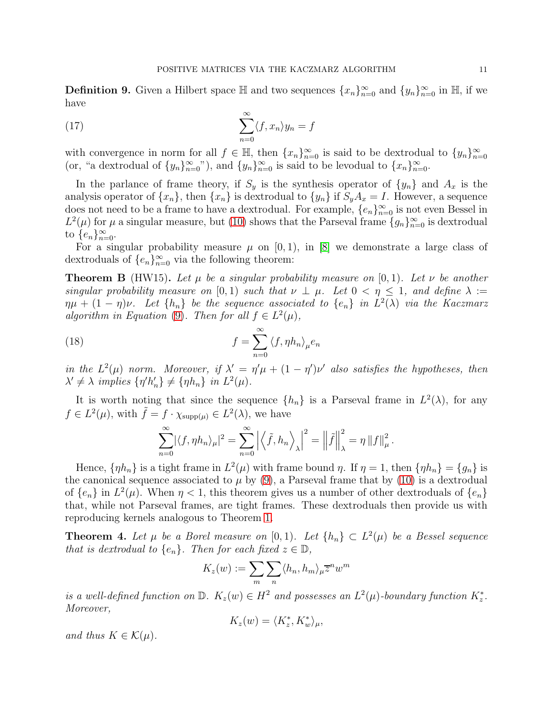**Definition 9.** Given a Hilbert space  $\mathbb{H}$  and two sequences  $\{x_n\}_{n=0}^{\infty}$  and  $\{y_n\}_{n=0}^{\infty}$  in  $\mathbb{H}$ , if we have

(17) 
$$
\sum_{n=0}^{\infty} \langle f, x_n \rangle y_n = f
$$

with convergence in norm for all  $f \in \mathbb{H}$ , then  $\{x_n\}_{n=0}^{\infty}$  is said to be dextrodual to  $\{y_n\}_{n=0}^{\infty}$ (or, "a dextrodual of  $\{y_n\}_{n=0}^{\infty}$ "), and  $\{y_n\}_{n=0}^{\infty}$  is said to be levodual to  $\{x_n\}_{n=0}^{\infty}$ .

In the parlance of frame theory, if  $S_y$  is the synthesis operator of  $\{y_n\}$  and  $A_x$  is the analysis operator of  $\{x_n\}$ , then  $\{x_n\}$  is dextrodual to  $\{y_n\}$  if  $S_yA_x = I$ . However, a sequence does not need to be a frame to have a dextrodual. For example,  $\{e_n\}_{n=0}^{\infty}$  is not even Bessel in  $L^2(\mu)$  for  $\mu$  a singular measure, but [\(10\)](#page-5-1) shows that the Parseval frame  $\{g_n\}_{n=0}^{\infty}$  is dextrodual to  $\{e_n\}_{n=0}^{\infty}$ .

For a singular probability measure  $\mu$  on [0, 1), in [\[8\]](#page-21-11) we demonstrate a large class of dextroduals of  $\{e_n\}_{n=0}^{\infty}$  via the following theorem:

**Theorem B** (HW15). Let  $\mu$  be a singular probability measure on [0,1]. Let  $\nu$  be another singular probability measure on [0,1] such that  $\nu \perp \mu$ . Let  $0 < \eta \leq 1$ , and define  $\lambda :=$  $\eta\mu + (1-\eta)\nu$ . Let  $\{h_n\}$  be the sequence associated to  $\{e_n\}$  in  $L^2(\lambda)$  via the Kaczmarz algorithm in Equation [\(9\)](#page-5-0). Then for all  $f \in L^2(\mu)$ ,

(18) 
$$
f = \sum_{n=0}^{\infty} \langle f, \eta h_n \rangle_{\mu} e_n
$$

in the  $L^2(\mu)$  norm. Moreover, if  $\lambda' = \eta' \mu + (1 - \eta') \nu'$  also satisfies the hypotheses, then  $\lambda' \neq \lambda$  implies  $\{\eta' h_n'\} \neq \{\eta h_n\}$  in  $L^2(\mu)$ .

It is worth noting that since the sequence  $\{h_n\}$  is a Parseval frame in  $L^2(\lambda)$ , for any  $f \in L^2(\mu)$ , with  $\tilde{f} = f \cdot \chi_{\text{supp}(\mu)} \in L^2(\lambda)$ , we have

$$
\sum_{n=0}^{\infty} |\langle f, \eta h_n \rangle_{\mu}|^2 = \sum_{n=0}^{\infty} \left| \langle \tilde{f}, h_n \rangle_{\lambda} \right|^2 = \left\| \tilde{f} \right\|_{\lambda}^2 = \eta \left\| f \right\|_{\mu}^2.
$$

Hence,  $\{\eta h_n\}$  is a tight frame in  $L^2(\mu)$  with frame bound  $\eta$ . If  $\eta = 1$ , then  $\{\eta h_n\} = \{g_n\}$  is the canonical sequence associated to  $\mu$  by [\(9\)](#page-5-0), a Parseval frame that by [\(10\)](#page-5-1) is a dextrodual of  $\{e_n\}$  in  $L^2(\mu)$ . When  $\eta < 1$ , this theorem gives us a number of other dextroduals of  $\{e_n\}$ that, while not Parseval frames, are tight frames. These dextroduals then provide us with reproducing kernels analogous to Theorem [1.](#page-6-4)

<span id="page-10-0"></span>**Theorem 4.** Let  $\mu$  be a Borel measure on [0,1]. Let  $\{h_n\} \subset L^2(\mu)$  be a Bessel sequence that is dextrodual to  $\{e_n\}$ . Then for each fixed  $z \in \mathbb{D}$ ,

$$
K_z(w) := \sum_{m} \sum_{n} \langle h_n, h_m \rangle_{\mu} \overline{z}^n w^m
$$

is a well-defined function on  $\mathbb{D}$ .  $K_z(w) \in H^2$  and possesses an  $L^2(\mu)$ -boundary function  $K_z^*$ . Moreover,

$$
K_z(w) = \langle K_z^*, K_w^* \rangle_{\mu},
$$

and thus  $K \in \mathcal{K}(\mu)$ .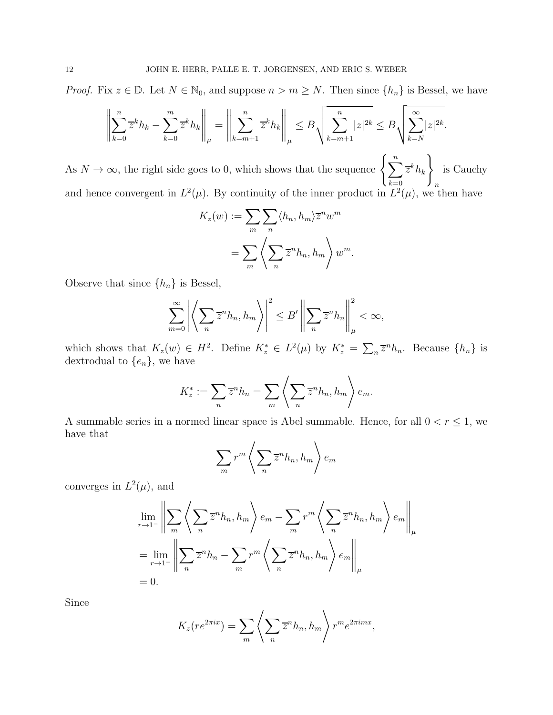*Proof.* Fix  $z \in \mathbb{D}$ . Let  $N \in \mathbb{N}_0$ , and suppose  $n > m \geq N$ . Then since  $\{h_n\}$  is Bessel, we have

$$
\left\| \sum_{k=0}^{n} \overline{z}^{k} h_{k} - \sum_{k=0}^{m} \overline{z}^{k} h_{k} \right\|_{\mu} = \left\| \sum_{k=m+1}^{n} \overline{z}^{k} h_{k} \right\|_{\mu} \leq B \sqrt{\sum_{k=m+1}^{n} |z|^{2k}} \leq B \sqrt{\sum_{k=N}^{\infty} |z|^{2k}}.
$$

As  $N \to \infty$ , the right side goes to 0, which shows that the sequence  $\left\{ \sum_{n=1}^{n} \right\}$  $_{k=0}$  $\overline{z}^kh_k$  $\mathcal{L}$ n is Cauchy and hence convergent in  $L^2(\mu)$ . By continuity of the inner product in  $L^2(\mu)$ , we then have

$$
K_z(w) := \sum_{m} \sum_{n} \langle h_n, h_m \rangle \overline{z}^n w^m
$$
  
= 
$$
\sum_{m} \left\langle \sum_{n} \overline{z}^n h_n, h_m \right\rangle w^m.
$$

Observe that since  $\{h_n\}$  is Bessel,

$$
\sum_{m=0}^{\infty} \left| \left\langle \sum_{n} \overline{z}^{n} h_{n}, h_{m} \right\rangle \right|^{2} \leq B' \left\| \sum_{n} \overline{z}^{n} h_{n} \right\|_{\mu}^{2} < \infty,
$$

which shows that  $K_z(w) \in H^2$ . Define  $K_z^* \in L^2(\mu)$  by  $K_z^* = \sum_n \overline{z}^n h_n$ . Because  $\{h_n\}$  is dextrodual to  $\{e_n\}$ , we have

$$
K_z^* := \sum_n \overline{z}^n h_n = \sum_m \left\langle \sum_n \overline{z}^n h_n, h_m \right\rangle e_m.
$$

A summable series in a normed linear space is Abel summable. Hence, for all  $0 < r \leq 1$ , we have that

$$
\sum_{m} r^{m} \left\langle \sum_{n} \overline{z}^{n} h_{n}, h_{m} \right\rangle e_{m}
$$

converges in  $L^2(\mu)$ , and

$$
\lim_{r \to 1^{-}} \left\| \sum_{m} \left\langle \sum_{n} \overline{z}^{n} h_{n}, h_{m} \right\rangle e_{m} - \sum_{m} r^{m} \left\langle \sum_{n} \overline{z}^{n} h_{n}, h_{m} \right\rangle e_{m} \right\|_{\mu}
$$
\n
$$
= \lim_{r \to 1^{-}} \left\| \sum_{n} \overline{z}^{n} h_{n} - \sum_{m} r^{m} \left\langle \sum_{n} \overline{z}^{n} h_{n}, h_{m} \right\rangle e_{m} \right\|_{\mu}
$$
\n
$$
= 0.
$$

Since

$$
K_z(re^{2\pi ix}) = \sum_{m} \left\langle \sum_{n} \overline{z}^n h_n, h_m \right\rangle r^m e^{2\pi imx},
$$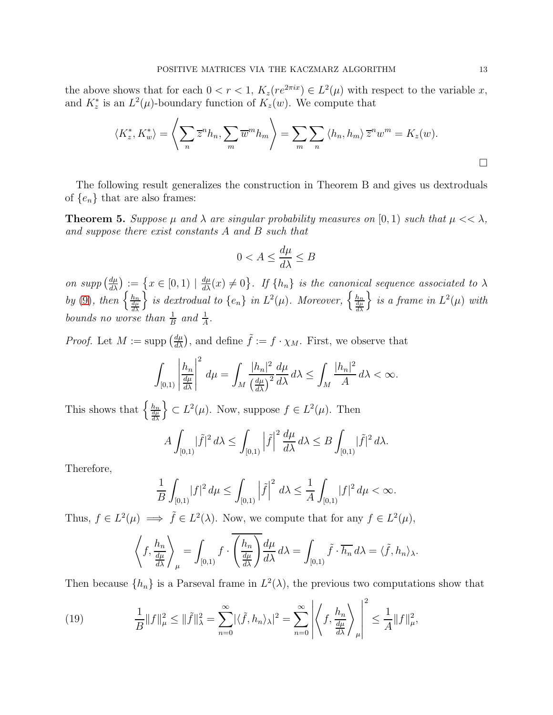the above shows that for each  $0 < r < 1$ ,  $K_z(re^{2\pi ix}) \in L^2(\mu)$  with respect to the variable x, and  $K_z^*$  is an  $L^2(\mu)$ -boundary function of  $K_z(w)$ . We compute that

$$
\langle K_z^*, K_w^* \rangle = \left\langle \sum_n \overline{z}^n h_n, \sum_m \overline{w}^m h_m \right\rangle = \sum_m \sum_n \left\langle h_n, h_m \right\rangle \overline{z}^n w^m = K_z(w).
$$

The following result generalizes the construction in Theorem B and gives us dextroduals of  $\{e_n\}$  that are also frames:

<span id="page-12-0"></span>**Theorem 5.** Suppose  $\mu$  and  $\lambda$  are singular probability measures on [0, 1) such that  $\mu << \lambda$ , and suppose there exist constants A and B such that

$$
0 < A \le \frac{d\mu}{d\lambda} \le B
$$

on supp  $\left(\frac{d\mu}{d\lambda}\right)$  $\frac{d\mu}{d\lambda}$  =  $\{x \in [0,1) \mid \frac{d\mu}{d\lambda}(x) \neq 0\}$ . If  $\{h_n\}$  is the canonical sequence associated to  $\lambda$ by [\(9\)](#page-5-0), then  $\left\{\frac{h_n}{\frac{d\mu}{d\lambda}}\right\}$  $\Big\}$  is dextrodual to  $\{e_n\}$  in  $L^2(\mu)$ . Moreover,  $\Big\{\frac{h_n}{\frac{d\mu}{d\lambda}}\Big\}$  $\}$  is a frame in  $L^2(\mu)$  with bounds no worse than  $\frac{1}{B}$  and  $\frac{1}{A}$ .

*Proof.* Let  $M := \text{supp}(\frac{d\mu}{d\lambda})$ , and define  $\tilde{f} := f \cdot \chi_M$ . First, we observe that

$$
\int_{[0,1)} \left| \frac{h_n}{\frac{d\mu}{d\lambda}} \right|^2 d\mu = \int_M \frac{|h_n|^2}{\left(\frac{d\mu}{d\lambda}\right)^2} \frac{d\mu}{d\lambda} d\lambda \le \int_M \frac{|h_n|^2}{A} d\lambda < \infty.
$$

This shows that  $\left\{\frac{h_n}{\frac{d\mu}{d\lambda}}\right\}$  $\mathcal{E} \subset L^2(\mu)$ . Now, suppose  $f \in L^2(\mu)$ . Then

$$
A\int_{[0,1)}|\tilde{f}|^2 d\lambda \leq \int_{[0,1)}\left|\tilde{f}\right|^2 \frac{d\mu}{d\lambda} d\lambda \leq B\int_{[0,1)}|\tilde{f}|^2 d\lambda.
$$

Therefore,

$$
\frac{1}{B}\int_{[0,1)}\!\!|f|^2\,d\mu\leq\int_{[0,1)}\left|\tilde f\right|^2\,d\lambda\leq\frac{1}{A}\int_{[0,1)}\!\!|f|^2\,d\mu<\infty.
$$

Thus,  $f \in L^2(\mu) \implies \tilde{f} \in L^2(\lambda)$ . Now, we compute that for any  $f \in L^2(\mu)$ ,

$$
\left\langle f, \frac{h_n}{\frac{d\mu}{d\lambda}} \right\rangle_{\mu} = \int_{[0,1)} f \cdot \left( \frac{h_n}{\frac{d\mu}{d\lambda}} \right) \frac{d\mu}{d\lambda} d\lambda = \int_{[0,1)} \tilde{f} \cdot \overline{h_n} d\lambda = \langle \tilde{f}, h_n \rangle_{\lambda}.
$$

Then because  $\{h_n\}$  is a Parseval frame in  $L^2(\lambda)$ , the previous two computations show that

<span id="page-12-1"></span>(19) 
$$
\frac{1}{B}||f||_{\mu}^{2} \leq ||\tilde{f}||_{\lambda}^{2} = \sum_{n=0}^{\infty} |\langle \tilde{f}, h_{n} \rangle_{\lambda}|^{2} = \sum_{n=0}^{\infty} \left| \left\langle f, \frac{h_{n}}{\frac{d\mu}{d\lambda}} \right\rangle_{\mu} \right|^{2} \leq \frac{1}{A}||f||_{\mu}^{2},
$$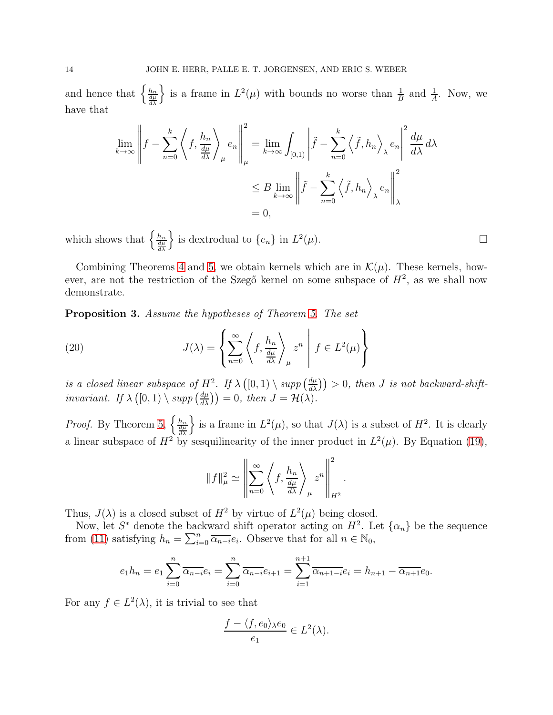and hence that  $\left\{\frac{h_n}{\frac{d\mu}{d\lambda}}\right\}$ is a frame in  $L^2(\mu)$  with bounds no worse than  $\frac{1}{B}$  and  $\frac{1}{A}$ . Now, we have that

$$
\lim_{k \to \infty} \left\| f - \sum_{n=0}^{k} \left\langle f, \frac{h_n}{\frac{d\mu}{d\lambda}} \right\rangle_{\mu} e_n \right\|_{\mu}^{2} = \lim_{k \to \infty} \int_{[0,1)} \left| \tilde{f} - \sum_{n=0}^{k} \left\langle \tilde{f}, h_n \right\rangle_{\lambda} e_n \right|^{2} \frac{d\mu}{d\lambda} d\lambda
$$
  

$$
\leq B \lim_{k \to \infty} \left\| \tilde{f} - \sum_{n=0}^{k} \left\langle \tilde{f}, h_n \right\rangle_{\lambda} e_n \right\|_{\lambda}^{2}
$$
  
= 0,

which shows that  $\left\{\frac{h_n}{\frac{d\mu}{d\lambda}}\right\}$ is dextrodual to  $\{e_n\}$  in  $L^2$  $(\mu).$ 

Combining Theorems [4](#page-10-0) and [5,](#page-12-0) we obtain kernels which are in  $\mathcal{K}(\mu)$ . These kernels, however, are not the restriction of the Szegő kernel on some subspace of  $H^2$ , as we shall now demonstrate.

<span id="page-13-1"></span>Proposition 3. Assume the hypotheses of Theorem [5.](#page-12-0) The set

<span id="page-13-0"></span>(20) 
$$
J(\lambda) = \left\{ \sum_{n=0}^{\infty} \left\langle f, \frac{h_n}{\frac{d\mu}{d\lambda}} \right\rangle_{\mu} z^n \middle| f \in L^2(\mu) \right\}
$$

is a closed linear subspace of  $H^2$ . If  $\lambda([0,1) \setminus supp(\frac{d\mu}{d\lambda})) > 0$ , then J is not backward-shift*invariant.* If  $\lambda([0,1) \setminus supp(\frac{d\mu}{d\lambda})) = 0$ , then  $J = \mathcal{H}(\lambda)$ .

*Proof.* By Theorem [5,](#page-12-0)  $\left\{\frac{h_n}{\frac{d\mu}{d\lambda}}\right\}$ is a frame in  $L^2(\mu)$ , so that  $J(\lambda)$  is a subset of  $H^2$ . It is clearly a linear subspace of  $H^2$  by sesquilinearity of the inner product in  $L^2(\mu)$ . By Equation [\(19\)](#page-12-1),

$$
||f||_{\mu}^{2} \simeq \left\| \sum_{n=0}^{\infty} \left\langle f, \frac{h_{n}}{\frac{d\mu}{d\lambda}} \right\rangle_{\mu} z^{n} \right\|_{H^{2}}^{2}
$$

.

Thus,  $J(\lambda)$  is a closed subset of  $H^2$  by virtue of  $L^2(\mu)$  being closed.

Now, let  $S^*$  denote the backward shift operator acting on  $H^2$ . Let  $\{\alpha_n\}$  be the sequence from [\(11\)](#page-5-6) satisfying  $h_n = \sum_{i=0}^n \overline{\alpha_{n-i}} e_i$ . Observe that for all  $n \in \mathbb{N}_0$ ,

$$
e_1h_n = e_1\sum_{i=0}^n \overline{\alpha_{n-i}}e_i = \sum_{i=0}^n \overline{\alpha_{n-i}}e_{i+1} = \sum_{i=1}^{n+1} \overline{\alpha_{n+1-i}}e_i = h_{n+1} - \overline{\alpha_{n+1}}e_0.
$$

For any  $f \in L^2(\lambda)$ , it is trivial to see that

$$
\frac{f - \langle f, e_0 \rangle_{\lambda} e_0}{e_1} \in L^2(\lambda).
$$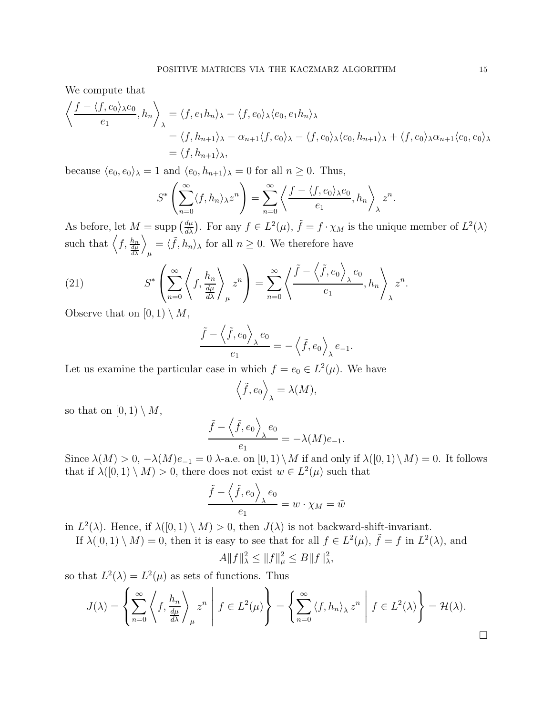We compute that

$$
\left\langle \frac{f - \langle f, e_0 \rangle_{\lambda} e_0}{e_1}, h_n \right\rangle_{\lambda} = \langle f, e_1 h_n \rangle_{\lambda} - \langle f, e_0 \rangle_{\lambda} \langle e_0, e_1 h_n \rangle_{\lambda}
$$
  
=  $\langle f, h_{n+1} \rangle_{\lambda} - \alpha_{n+1} \langle f, e_0 \rangle_{\lambda} - \langle f, e_0 \rangle_{\lambda} \langle e_0, h_{n+1} \rangle_{\lambda} + \langle f, e_0 \rangle_{\lambda} \alpha_{n+1} \langle e_0, e_0 \rangle_{\lambda}$   
=  $\langle f, h_{n+1} \rangle_{\lambda}$ ,

because  $\langle e_0, e_0 \rangle_\lambda = 1$  and  $\langle e_0, h_{n+1} \rangle_\lambda = 0$  for all  $n \geq 0$ . Thus,

$$
S^* \left( \sum_{n=0}^{\infty} \langle f, h_n \rangle_{\lambda} z^n \right) = \sum_{n=0}^{\infty} \left\langle \frac{f - \langle f, e_0 \rangle_{\lambda} e_0}{e_1}, h_n \right\rangle_{\lambda} z^n
$$

As before, let  $M = \text{supp}(\frac{d\mu}{d\lambda})$ . For any  $f \in L^2(\mu)$ ,  $\tilde{f} = f \cdot \chi_M$  is the unique member of  $L^2(\lambda)$ such that  $\left\langle f, \frac{h_n}{\frac{d\mu}{d\lambda}} \right\rangle$  $\setminus$  $\mu$  $=\langle \tilde{f}, h_n \rangle_{\lambda}$  for all  $n \geq 0$ . We therefore have

(21) 
$$
S^* \left( \sum_{n=0}^{\infty} \left\langle f, \frac{h_n}{\frac{d\mu}{d\lambda}} \right\rangle_{\mu} z^n \right) = \sum_{n=0}^{\infty} \left\langle \frac{\tilde{f} - \left\langle \tilde{f}, e_0 \right\rangle_{\lambda} e_0}{e_1}, h_n \right\rangle_{\lambda} z^n.
$$

Observe that on  $[0, 1) \setminus M$ ,

$$
\frac{\tilde{f} - \left\langle \tilde{f}, e_0 \right\rangle_{\lambda} e_0}{e_1} = -\left\langle \tilde{f}, e_0 \right\rangle_{\lambda} e_{-1}.
$$

Let us examine the particular case in which  $f = e_0 \in L^2(\mu)$ . We have

$$
\left\langle \tilde{f}, e_0 \right\rangle_{\lambda} = \lambda(M),
$$

so that on  $[0, 1) \setminus M$ ,

$$
\frac{\tilde{f} - \langle \tilde{f}, e_0 \rangle_{\lambda} e_0}{e_1} = -\lambda(M)e_{-1}.
$$

Since  $\lambda(M) > 0$ ,  $-\lambda(M)e_{-1} = 0$   $\lambda$ -a.e. on  $[0,1) \setminus M$  if and only if  $\lambda([0,1) \setminus M) = 0$ . It follows that if  $\lambda([0,1) \setminus M) > 0$ , there does not exist  $w \in L^2(\mu)$  such that

$$
\frac{\tilde{f} - \left\langle \tilde{f}, e_0 \right\rangle_{\lambda} e_0}{e_1} = w \cdot \chi_M = \tilde{w}
$$

in  $L^2(\lambda)$ . Hence, if  $\lambda([0,1) \setminus M) > 0$ , then  $J(\lambda)$  is not backward-shift-invariant.

If  $\lambda([0,1) \setminus M) = 0$ , then it is easy to see that for all  $f \in L^2(\mu)$ ,  $\tilde{f} = f$  in  $L^2(\lambda)$ , and

$$
A||f||_{\lambda}^{2} \leq ||f||_{\mu}^{2} \leq B||f||_{\lambda}^{2},
$$

so that  $L^2(\lambda) = L^2(\mu)$  as sets of functions. Thus

$$
J(\lambda) = \left\{ \sum_{n=0}^{\infty} \left\langle f, \frac{h_n}{\frac{d\mu}{d\lambda}} \right\rangle_{\mu} z^n \middle| f \in L^2(\mu) \right\} = \left\{ \sum_{n=0}^{\infty} \left\langle f, h_n \right\rangle_{\lambda} z^n \middle| f \in L^2(\lambda) \right\} = \mathcal{H}(\lambda).
$$

 $\Box$ 

.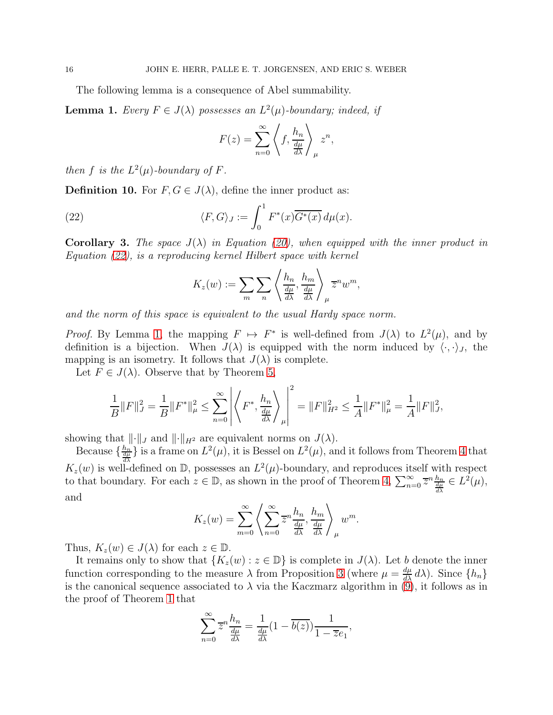The following lemma is a consequence of Abel summability.

<span id="page-15-1"></span>**Lemma 1.** Every  $F \in J(\lambda)$  possesses an  $L^2(\mu)$ -boundary; indeed, if

$$
F(z) = \sum_{n=0}^{\infty} \left\langle f, \frac{h_n}{\frac{d\mu}{d\lambda}} \right\rangle_{\mu} z^n,
$$

then f is the  $L^2(\mu)$ -boundary of F.

**Definition 10.** For  $F, G \in J(\lambda)$ , define the inner product as:

(22) 
$$
\langle F, G \rangle_J := \int_0^1 F^*(x) \overline{G^*(x)} d\mu(x).
$$

<span id="page-15-2"></span>**Corollary 3.** The space  $J(\lambda)$  in Equation [\(20\)](#page-13-0), when equipped with the inner product in Equation [\(22\)](#page-15-0), is a reproducing kernel Hilbert space with kernel

<span id="page-15-0"></span>
$$
K_z(w) := \sum_{m} \sum_{n} \left\langle \frac{h_n}{\frac{d\mu}{d\lambda}}, \frac{h_m}{\frac{d\mu}{d\lambda}} \right\rangle_{\mu} \overline{z}^n w^m,
$$

and the norm of this space is equivalent to the usual Hardy space norm.

*Proof.* By Lemma [1,](#page-15-1) the mapping  $F \mapsto F^*$  is well-defined from  $J(\lambda)$  to  $L^2(\mu)$ , and by definition is a bijection. When  $J(\lambda)$  is equipped with the norm induced by  $\langle \cdot, \cdot \rangle_J$ , the mapping is an isometry. It follows that  $J(\lambda)$  is complete.

Let  $F \in J(\lambda)$ . Observe that by Theorem [5,](#page-12-0)

$$
\frac{1}{B}||F||_J^2 = \frac{1}{B}||F^*||_\mu^2 \le \sum_{n=0}^\infty \left| \left\langle F^*, \frac{h_n}{\frac{d\mu}{d\lambda}} \right\rangle_\mu \right|^2 = ||F||_{H^2}^2 \le \frac{1}{A}||F^*||_\mu^2 = \frac{1}{A}||F||_J^2,
$$

showing that  $\|\cdot\|_J$  and  $\|\cdot\|_{H^2}$  are equivalent norms on  $J(\lambda)$ .

Because  $\{\frac{h_n}{d\mu}\}\$ is a frame on  $L^2(\mu)$ , it is Bessel on  $L^2(\mu)$ , and it follows from Theorem [4](#page-10-0) that  $K_z(w)$  is well-defined on D, possesses an  $L^2(\mu)$ -boundary, and reproduces itself with respect to that boundary. For each  $z \in \mathbb{D}$ , as shown in the proof of Theorem [4,](#page-10-0)  $\sum_{n=0}^{\infty} \overline{z}^n \frac{h_n}{\frac{dh}{d\lambda}} \in L^2(\mu)$ , and

$$
K_z(w) = \sum_{m=0}^{\infty} \left\langle \sum_{n=0}^{\infty} \overline{z}^n \frac{h_n}{\frac{d\mu}{d\lambda}}, \frac{h_m}{\frac{d\mu}{d\lambda}} \right\rangle_{\mu} w^m.
$$

Thus,  $K_z(w) \in J(\lambda)$  for each  $z \in \mathbb{D}$ .

It remains only to show that  $\{K_z(w): z \in \mathbb{D}\}\$ is complete in  $J(\lambda)$ . Let b denote the inner function corresponding to the measure  $\lambda$  from Proposition [3](#page-13-1) (where  $\mu = \frac{d\mu}{d\lambda} d\lambda$ ). Since  $\{h_n\}$ is the canonical sequence associated to  $\lambda$  via the Kaczmarz algorithm in [\(9\)](#page-5-0), it follows as in the proof of Theorem [1](#page-6-4) that

$$
\sum_{n=0}^{\infty} \overline{z}^n \frac{h_n}{\frac{d\mu}{d\lambda}} = \frac{1}{\frac{d\mu}{d\lambda}} (1 - \overline{b(z)}) \frac{1}{1 - \overline{z}e_1},
$$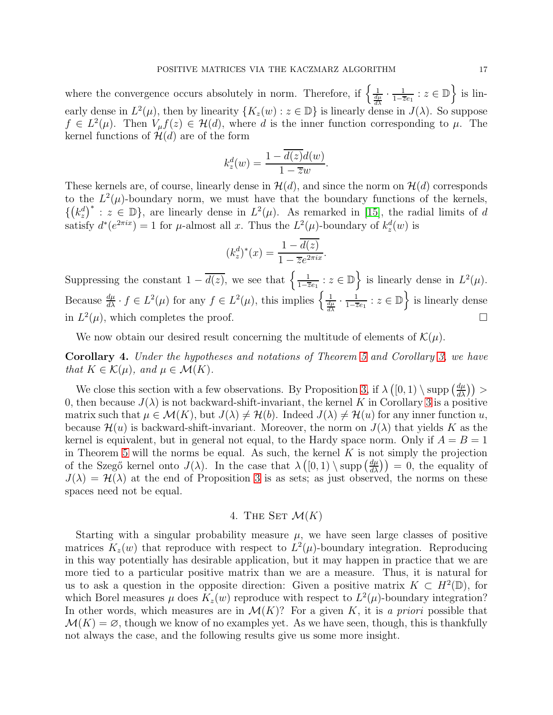where the convergence occurs absolutely in norm. Therefore, if  $\left\{\frac{1}{\frac{d\mu}{d\lambda}} \cdot \frac{1}{1-\overline{z}}\right\}$  $\frac{1}{1-\overline{z}e_1}$  :  $z \in \mathbb{D}$  is linearly dense in  $L^2(\mu)$ , then by linearity  $\{K_z(w): z \in \mathbb{D}\}\$ is linearly dense in  $J(\lambda)$ . So suppose  $f \in L^2(\mu)$ . Then  $V_\mu f(z) \in \mathcal{H}(d)$ , where d is the inner function corresponding to  $\mu$ . The kernel functions of  $\mathcal{H}(d)$  are of the form

$$
k_z^d(w) = \frac{1 - \overline{d(z)}d(w)}{1 - \overline{z}w}.
$$

These kernels are, of course, linearly dense in  $\mathcal{H}(d)$ , and since the norm on  $\mathcal{H}(d)$  corresponds to the  $L^2(\mu)$ -boundary norm, we must have that the boundary functions of the kernels,  $\{(k_z^d)^*: z \in \mathbb{D}\}\)$ , are linearly dense in  $L^2(\mu)$ . As remarked in [\[15\]](#page-21-10), the radial limits of d satisfy  $d^*(e^{2\pi ix}) = 1$  for  $\mu$ -almost all x. Thus the  $L^2(\mu)$ -boundary of  $k_z^d(w)$  is

$$
(k_z^d)^*(x) = \frac{1 - \overline{d(z)}}{1 - \overline{z}e^{2\pi ix}}.
$$

Suppressing the constant  $1 - \overline{d(z)}$ , we see that  $\left\{\frac{1}{1-z}\right\}$  $\frac{1}{1-\overline{z}e_1}$  :  $z \in \mathbb{D}$  is linearly dense in  $L^2(\mu)$ . Because  $\frac{d\mu}{d\lambda} \cdot f \in L^2(\mu)$  for any  $f \in L^2(\mu)$ , this implies  $\left\{ \frac{1}{\frac{d\mu}{d\lambda}} \cdot \frac{1}{1-\overline{z}} \right\}$  $\frac{1}{1-\overline{z}e_1}$  :  $z \in \mathbb{D}$  is linearly dense in  $L^2(\mu)$ , which completes the proof.

We now obtain our desired result concerning the multitude of elements of  $\mathcal{K}(\mu)$ .

Corollary 4. Under the hypotheses and notations of Theorem [5](#page-12-0) and Corollary [3,](#page-15-2) we have that  $K \in \mathcal{K}(\mu)$ , and  $\mu \in \mathcal{M}(K)$ .

We close this section with a few observations. By Proposition [3,](#page-13-1) if  $\lambda([0,1) \setminus \text{supp}(\frac{d\mu}{d\lambda})$  > 0, then because  $J(\lambda)$  is not backward-shift-invariant, the kernel K in Corollary [3](#page-15-2) is a positive matrix such that  $\mu \in \mathcal{M}(K)$ , but  $J(\lambda) \neq \mathcal{H}(b)$ . Indeed  $J(\lambda) \neq \mathcal{H}(u)$  for any inner function u, because  $\mathcal{H}(u)$  is backward-shift-invariant. Moreover, the norm on  $J(\lambda)$  that yields K as the kernel is equivalent, but in general not equal, to the Hardy space norm. Only if  $A = B = 1$ in Theorem [5](#page-12-0) will the norms be equal. As such, the kernel  $K$  is not simply the projection of the Szegő kernel onto  $J(\lambda)$ . In the case that  $\lambda([0,1) \setminus \text{supp}(\frac{d\mu}{d\lambda}) = 0$ , the equality of  $J(\lambda) = \mathcal{H}(\lambda)$  at the end of Proposition [3](#page-13-1) is as sets; as just observed, the norms on these spaces need not be equal.

### 4. THE SET  $\mathcal{M}(K)$

Starting with a singular probability measure  $\mu$ , we have seen large classes of positive matrices  $K_z(w)$  that reproduce with respect to  $L^2(\mu)$ -boundary integration. Reproducing in this way potentially has desirable application, but it may happen in practice that we are more tied to a particular positive matrix than we are a measure. Thus, it is natural for us to ask a question in the opposite direction: Given a positive matrix  $K \subset H^2(\mathbb{D})$ , for which Borel measures  $\mu$  does  $K_z(w)$  reproduce with respect to  $L^2(\mu)$ -boundary integration? In other words, which measures are in  $\mathcal{M}(K)$ ? For a given K, it is a priori possible that  $\mathcal{M}(K) = \emptyset$ , though we know of no examples yet. As we have seen, though, this is thankfully not always the case, and the following results give us some more insight.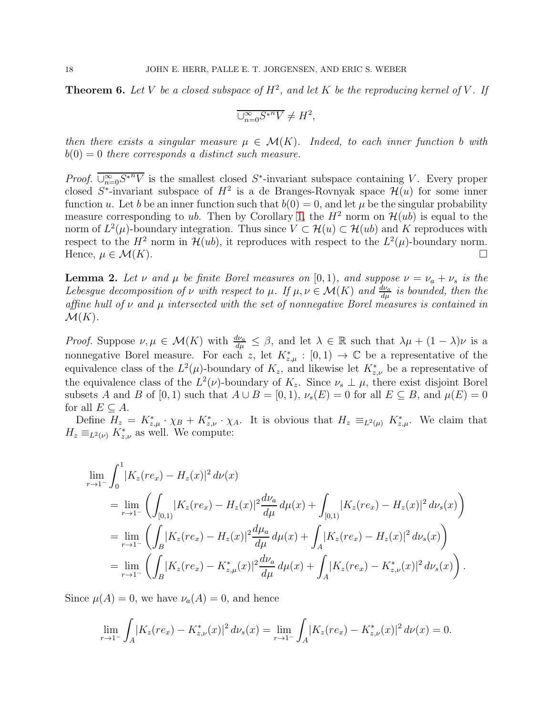**Theorem 6.** Let V be a closed subspace of  $H^2$ , and let K be the reproducing kernel of V. If

$$
\overline{\cup_{n=0}^{\infty} S^{*n} V} \neq H^2,
$$

then there exists a singular measure  $\mu \in \mathcal{M}(K)$ . Indeed, to each inner function b with  $b(0) = 0$  there corresponds a distinct such measure.

*Proof.*  $\overline{\bigcup_{n=0}^{\infty} S^{n}V}$  is the smallest closed  $S^*$ -invariant subspace containing V. Every proper closed  $S^*$ -invariant subspace of  $H^2$  is a de Branges-Rovnyak space  $\mathcal{H}(u)$  for some inner function u. Let b be an inner function such that  $b(0) = 0$ , and let  $\mu$  be the singular probability measure corresponding to ub. Then by Corollary [1,](#page-6-3) the  $H^2$  norm on  $\mathcal{H}(ub)$  is equal to the norm of  $L^2(\mu)$ -boundary integration. Thus since  $V \subset \mathcal{H}(u) \subset \mathcal{H}(ub)$  and K reproduces with respect to the  $H^2$  norm in  $\mathcal{H}(ub)$ , it reproduces with respect to the  $L^2(\mu)$ -boundary norm. Hence,  $\mu \in \mathcal{M}(K)$ .

<span id="page-17-0"></span>**Lemma 2.** Let  $\nu$  and  $\mu$  be finite Borel measures on [0,1], and suppose  $\nu = \nu_a + \nu_s$  is the Lebesgue decomposition of  $\nu$  with respect to  $\mu$ . If  $\mu, \nu \in \mathcal{M}(K)$  and  $\frac{d\nu_a}{d\mu}$  is bounded, then the affine hull of  $\nu$  and  $\mu$  intersected with the set of nonnegative Borel measures is contained in  $\mathcal{M}(K)$ .

*Proof.* Suppose  $\nu, \mu \in \mathcal{M}(K)$  with  $\frac{d\nu_a}{d\mu} \leq \beta$ , and let  $\lambda \in \mathbb{R}$  such that  $\lambda\mu + (1 - \lambda)\nu$  is a nonnegative Borel measure. For each z, let  $K_{z,\mu}^* : [0,1) \to \mathbb{C}$  be a representative of the equivalence class of the  $L^2(\mu)$ -boundary of  $K_z$ , and likewise let  $K_{z,\nu}^*$  be a representative of the equivalence class of the  $L^2(\nu)$ -boundary of  $K_z$ . Since  $\nu_s \perp \mu$ , there exist disjoint Borel subsets A and B of [0, 1) such that  $A \cup B = [0, 1)$ ,  $\nu_s(E) = 0$  for all  $E \subseteq B$ , and  $\mu(E) = 0$ for all  $E \subset A$ .

Define  $H_z = K_{z,\mu}^* \cdot \chi_B + K_{z,\nu}^* \cdot \chi_A$ . It is obvious that  $H_z \equiv_{L^2(\mu)} K_{z,\mu}^*$ . We claim that  $H_z \equiv_{L^2(\nu)} K^*_{z,\nu}$  as well. We compute:

$$
\lim_{r \to 1^{-}} \int_{0}^{1} |K_{z}(re_{x}) - H_{z}(x)|^{2} d\nu(x)
$$
\n
$$
= \lim_{r \to 1^{-}} \left( \int_{[0,1)} |K_{z}(re_{x}) - H_{z}(x)|^{2} \frac{d\nu_{a}}{d\mu} d\mu(x) + \int_{[0,1)} |K_{z}(re_{x}) - H_{z}(x)|^{2} d\nu_{s}(x) \right)
$$
\n
$$
= \lim_{r \to 1^{-}} \left( \int_{B} |K_{z}(re_{x}) - H_{z}(x)|^{2} \frac{d\mu_{a}}{d\mu} d\mu(x) + \int_{A} |K_{z}(re_{x}) - H_{z}(x)|^{2} d\nu_{s}(x) \right)
$$
\n
$$
= \lim_{r \to 1^{-}} \left( \int_{B} |K_{z}(re_{x}) - K_{z,\mu}^{*}(x)|^{2} \frac{d\nu_{a}}{d\mu} d\mu(x) + \int_{A} |K_{z}(re_{x}) - K_{z,\nu}^{*}(x)|^{2} d\nu_{s}(x) \right).
$$

Since  $\mu(A) = 0$ , we have  $\nu_a(A) = 0$ , and hence

$$
\lim_{r \to 1^{-}} \int_{A} |K_{z}(re_{x}) - K_{z,\nu}^{*}(x)|^{2} d\nu_{s}(x) = \lim_{r \to 1^{-}} \int_{A} |K_{z}(re_{x}) - K_{z,\nu}^{*}(x)|^{2} d\nu(x) = 0.
$$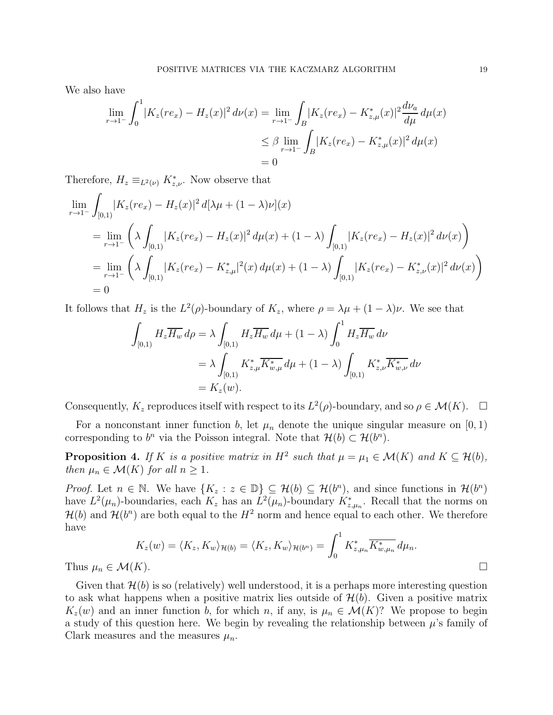We also have

$$
\lim_{r \to 1^{-}} \int_{0}^{1} |K_{z}(re_{x}) - H_{z}(x)|^{2} d\nu(x) = \lim_{r \to 1^{-}} \int_{B} |K_{z}(re_{x}) - K_{z,\mu}^{*}(x)|^{2} \frac{d\nu_{a}}{d\mu} d\mu(x)
$$
\n
$$
\leq \beta \lim_{r \to 1^{-}} \int_{B} |K_{z}(re_{x}) - K_{z,\mu}^{*}(x)|^{2} d\mu(x)
$$
\n
$$
= 0
$$

Therefore,  $H_z \equiv_{L^2(\nu)} K^*_{z,\nu}$ . Now observe that

$$
\lim_{r \to 1^{-}} \int_{[0,1)} |K_z(re_x) - H_z(x)|^2 d[\lambda \mu + (1 - \lambda)\nu](x)
$$
\n
$$
= \lim_{r \to 1^{-}} \left( \lambda \int_{[0,1)} |K_z(re_x) - H_z(x)|^2 d\mu(x) + (1 - \lambda) \int_{[0,1)} |K_z(re_x) - H_z(x)|^2 d\nu(x) \right)
$$
\n
$$
= \lim_{r \to 1^{-}} \left( \lambda \int_{[0,1)} |K_z(re_x) - K_{z,\mu}^*|^2(x) d\mu(x) + (1 - \lambda) \int_{[0,1)} |K_z(re_x) - K_{z,\nu}^*(x)|^2 d\nu(x) \right)
$$
\n
$$
= 0
$$

It follows that  $H_z$  is the  $L^2(\rho)$ -boundary of  $K_z$ , where  $\rho = \lambda \mu + (1 - \lambda)\nu$ . We see that

$$
\int_{[0,1)} H_z \overline{H_w} \, d\rho = \lambda \int_{[0,1)} H_z \overline{H_w} \, d\mu + (1 - \lambda) \int_0^1 H_z \overline{H_w} \, d\nu
$$
\n
$$
= \lambda \int_{[0,1)} K_{z,\mu}^* \overline{K_{w,\mu}^*} \, d\mu + (1 - \lambda) \int_{[0,1)} K_{z,\nu}^* \overline{K_{w,\nu}^*} \, d\nu
$$
\n
$$
= K_z(w).
$$

Consequently,  $K_z$  reproduces itself with respect to its  $L^2(\rho)$ -boundary, and so  $\rho \in \mathcal{M}(K)$ .  $\Box$ 

For a nonconstant inner function b, let  $\mu_n$  denote the unique singular measure on [0, 1) corresponding to  $b^n$  via the Poisson integral. Note that  $\mathcal{H}(b) \subset \mathcal{H}(b^n)$ .

**Proposition 4.** If K is a positive matrix in  $H^2$  such that  $\mu = \mu_1 \in \mathcal{M}(K)$  and  $K \subseteq \mathcal{H}(b)$ , then  $\mu_n \in \mathcal{M}(K)$  for all  $n \geq 1$ .

*Proof.* Let  $n \in \mathbb{N}$ . We have  $\{K_z : z \in \mathbb{D}\} \subseteq \mathcal{H}(b) \subseteq \mathcal{H}(b^n)$ , and since functions in  $\mathcal{H}(b^n)$ have  $L^2(\mu_n)$ -boundaries, each  $K_z$  has an  $L^2(\mu_n)$ -boundary  $K_{z,\mu_n}^*$ . Recall that the norms on  $\mathcal{H}(b)$  and  $\mathcal{H}(b^n)$  are both equal to the  $H^2$  norm and hence equal to each other. We therefore have

$$
K_z(w) = \langle K_z, K_w \rangle_{\mathcal{H}(b)} = \langle K_z, K_w \rangle_{\mathcal{H}(b^n)} = \int_0^1 K_{z,\mu_n}^* \overline{K_{w,\mu_n}^*} d\mu_n.
$$
  
(K).

Thus  $\mu_n \in \mathcal{M}($ 

Given that  $\mathcal{H}(b)$  is so (relatively) well understood, it is a perhaps more interesting question to ask what happens when a positive matrix lies outside of  $\mathcal{H}(b)$ . Given a positive matrix  $K_z(w)$  and an inner function b, for which n, if any, is  $\mu_n \in \mathcal{M}(K)$ ? We propose to begin a study of this question here. We begin by revealing the relationship between  $\mu$ 's family of Clark measures and the measures  $\mu_n$ .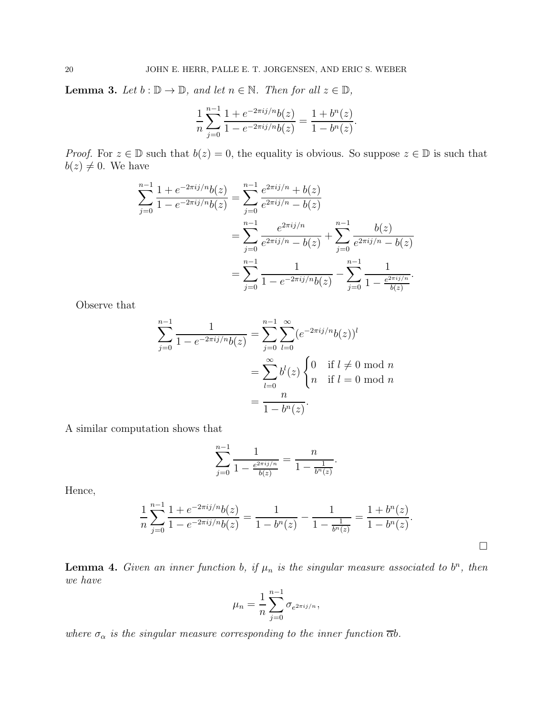<span id="page-19-0"></span>**Lemma 3.** Let  $b : \mathbb{D} \to \mathbb{D}$ , and let  $n \in \mathbb{N}$ . Then for all  $z \in \mathbb{D}$ ,

$$
\frac{1}{n}\sum_{j=0}^{n-1} \frac{1+e^{-2\pi i j/n}b(z)}{1-e^{-2\pi i j/n}b(z)} = \frac{1+b^n(z)}{1-b^n(z)}.
$$

*Proof.* For  $z \in \mathbb{D}$  such that  $b(z) = 0$ , the equality is obvious. So suppose  $z \in \mathbb{D}$  is such that  $b(z) \neq 0$ . We have

$$
\sum_{j=0}^{n-1} \frac{1 + e^{-2\pi i j/n} b(z)}{1 - e^{-2\pi i j/n} b(z)} = \sum_{j=0}^{n-1} \frac{e^{2\pi i j/n} + b(z)}{e^{2\pi i j/n} - b(z)}
$$
  
= 
$$
\sum_{j=0}^{n-1} \frac{e^{2\pi i j/n}}{e^{2\pi i j/n} - b(z)} + \sum_{j=0}^{n-1} \frac{b(z)}{e^{2\pi i j/n} - b(z)}
$$
  
= 
$$
\sum_{j=0}^{n-1} \frac{1}{1 - e^{-2\pi i j/n} b(z)} - \sum_{j=0}^{n-1} \frac{1}{1 - \frac{e^{2\pi i j/n}}{b(z)}}.
$$

Observe that

$$
\sum_{j=0}^{n-1} \frac{1}{1 - e^{-2\pi i j/n} b(z)} = \sum_{j=0}^{n-1} \sum_{l=0}^{\infty} (e^{-2\pi i j/n} b(z))^l
$$

$$
= \sum_{l=0}^{\infty} b^l(z) \begin{cases} 0 & \text{if } l \neq 0 \text{ mod } n \\ n & \text{if } l = 0 \text{ mod } n \end{cases}
$$

$$
= \frac{n}{1 - b^n(z)}.
$$

A similar computation shows that

$$
\sum_{j=0}^{n-1} \frac{1}{1 - \frac{e^{2\pi i j/n}}{b(z)}} = \frac{n}{1 - \frac{1}{b^n(z)}}.
$$

Hence,

$$
\frac{1}{n}\sum_{j=0}^{n-1}\frac{1+e^{-2\pi i j/n}b(z)}{1-e^{-2\pi i j/n}b(z)} = \frac{1}{1-b^n(z)} - \frac{1}{1-\frac{1}{b^n(z)}} = \frac{1+b^n(z)}{1-b^n(z)}.
$$

<span id="page-19-1"></span>**Lemma 4.** Given an inner function b, if  $\mu_n$  is the singular measure associated to  $b^n$ , then we have

$$
\mu_n = \frac{1}{n} \sum_{j=0}^{n-1} \sigma_{e^{2\pi i j/n}},
$$

where  $\sigma_{\alpha}$  is the singular measure corresponding to the inner function  $\overline{\alpha}b$ .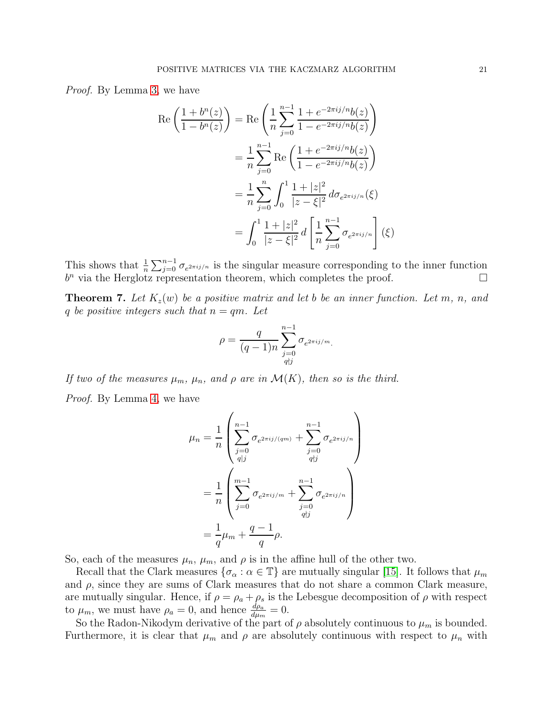Proof. By Lemma [3,](#page-19-0) we have

$$
\operatorname{Re}\left(\frac{1+b^{n}(z)}{1-b^{n}(z)}\right) = \operatorname{Re}\left(\frac{1}{n}\sum_{j=0}^{n-1}\frac{1+e^{-2\pi i j/n}b(z)}{1-e^{-2\pi i j/n}b(z)}\right)
$$

$$
= \frac{1}{n}\sum_{j=0}^{n-1}\operatorname{Re}\left(\frac{1+e^{-2\pi i j/n}b(z)}{1-e^{-2\pi i j/n}b(z)}\right)
$$

$$
= \frac{1}{n}\sum_{j=0}^{n}\int_{0}^{1}\frac{1+|z|^{2}}{|z-\xi|^{2}}d\sigma_{e^{2\pi i j/n}}(\xi)
$$

$$
= \int_{0}^{1}\frac{1+|z|^{2}}{|z-\xi|^{2}}d\left[\frac{1}{n}\sum_{j=0}^{n-1}\sigma_{e^{2\pi i j/n}}\right](\xi)
$$

This shows that  $\frac{1}{n}\sum_{j=0}^{n-1}\sigma_{e^{2\pi i j/n}}$  is the singular measure corresponding to the inner function  $b^n$  via the Herglotz representation theorem, which completes the proof.  $\square$ 

**Theorem 7.** Let  $K_z(w)$  be a positive matrix and let b be an inner function. Let m, n, and q be positive integers such that  $n = qm$ . Let

$$
\rho=\frac{q}{(q-1)n}\sum_{\substack{j=0\\ q \nmid j}}^{n-1} \sigma_{e^{2\pi ij/m}}.
$$

If two of the measures  $\mu_m$ ,  $\mu_n$ , and  $\rho$  are in  $\mathcal{M}(K)$ , then so is the third.

Proof. By Lemma [4,](#page-19-1) we have

$$
\mu_n = \frac{1}{n} \left( \sum_{\substack{j=0 \ j=0}}^{n-1} \sigma_{e^{2\pi i j/(qm)}} + \sum_{\substack{j=0 \ j=0}}^{n-1} \sigma_{e^{2\pi i j/n}} \right)
$$

$$
= \frac{1}{n} \left( \sum_{\substack{j=0 \ j=0}}^{m-1} \sigma_{e^{2\pi i j/m}} + \sum_{\substack{j=0 \ q \nmid j}}^{n-1} \sigma_{e^{2\pi i j/n}} \right)
$$

$$
= \frac{1}{q} \mu_m + \frac{q-1}{q} \rho.
$$

So, each of the measures  $\mu_n$ ,  $\mu_m$ , and  $\rho$  is in the affine hull of the other two.

Recall that the Clark measures  $\{\sigma_{\alpha} : \alpha \in \mathbb{T}\}\$  are mutually singular [\[15\]](#page-21-10). It follows that  $\mu_m$ and  $\rho$ , since they are sums of Clark measures that do not share a common Clark measure, are mutually singular. Hence, if  $\rho = \rho_a + \rho_s$  is the Lebesgue decomposition of  $\rho$  with respect to  $\mu_m$ , we must have  $\rho_a = 0$ , and hence  $\frac{d\rho_a}{d\mu_m} = 0$ .

So the Radon-Nikodym derivative of the part of  $\rho$  absolutely continuous to  $\mu_m$  is bounded. Furthermore, it is clear that  $\mu_m$  and  $\rho$  are absolutely continuous with respect to  $\mu_n$  with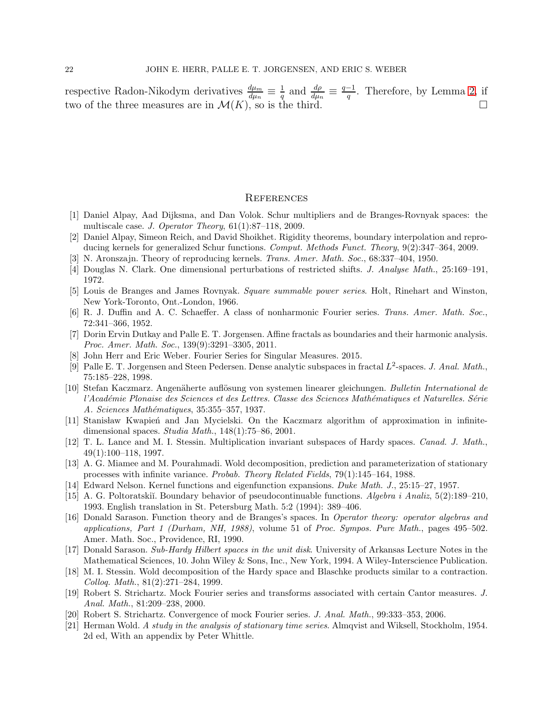respective Radon-Nikodym derivatives  $\frac{d\mu_m}{d\mu_n} \equiv \frac{1}{q}$  $\frac{1}{q}$  and  $\frac{d\rho}{d\mu_n} \equiv \frac{q-1}{q}$  $\frac{-1}{q}$ . Therefore, by Lemma [2,](#page-17-0) if two of the three measures are in  $\mathcal{M}(K)$ , so is the third.

#### **REFERENCES**

- <span id="page-21-6"></span>[1] Daniel Alpay, Aad Dijksma, and Dan Volok. Schur multipliers and de Branges-Rovnyak spaces: the multiscale case. *J. Operator Theory*, 61(1):87–118, 2009.
- [2] Daniel Alpay, Simeon Reich, and David Shoikhet. Rigidity theorems, boundary interpolation and reproducing kernels for generalized Schur functions. *Comput. Methods Funct. Theory*, 9(2):347–364, 2009.
- <span id="page-21-8"></span><span id="page-21-3"></span>[3] N. Aronszajn. Theory of reproducing kernels. *Trans. Amer. Math. Soc.*, 68:337–404, 1950.
- <span id="page-21-5"></span>[4] Douglas N. Clark. One dimensional perturbations of restricted shifts. *J. Analyse Math.*, 25:169–191, 1972.
- <span id="page-21-4"></span>[5] Louis de Branges and James Rovnyak. *Square summable power series*. Holt, Rinehart and Winston, New York-Toronto, Ont.-London, 1966.
- <span id="page-21-1"></span>[6] R. J. Duffin and A. C. Schaeffer. A class of nonharmonic Fourier series. *Trans. Amer. Math. Soc.*, 72:341–366, 1952.
- [7] Dorin Ervin Dutkay and Palle E. T. Jorgensen. Affine fractals as boundaries and their harmonic analysis. *Proc. Amer. Math. Soc.*, 139(9):3291–3305, 2011.
- <span id="page-21-11"></span><span id="page-21-0"></span>[8] John Herr and Eric Weber. Fourier Series for Singular Measures. 2015.
- [9] Palle E. T. Jorgensen and Steen Pedersen. Dense analytic subspaces in fractal  $L^2$ -spaces. *J. Anal. Math.*, 75:185–228, 1998.
- <span id="page-21-12"></span>[10] Stefan Kaczmarz. Angen¨aherte aufl¨osung von systemen linearer gleichungen. *Bulletin International de l'Acad´emie Plonaise des Sciences et des Lettres. Classe des Sciences Math´ematiques et Naturelles. S´erie A. Sciences Math´ematiques*, 35:355–357, 1937.
- <span id="page-21-13"></span>[11] Stanisław Kwapień and Jan Mycielski. On the Kaczmarz algorithm of approximation in infinitedimensional spaces. *Studia Math.*, 148(1):75–86, 2001.
- <span id="page-21-17"></span>[12] T. L. Lance and M. I. Stessin. Multiplication invariant subspaces of Hardy spaces. *Canad. J. Math.*, 49(1):100–118, 1997.
- <span id="page-21-16"></span>[13] A. G. Miamee and M. Pourahmadi. Wold decomposition, prediction and parameterization of stationary processes with infinite variance. *Probab. Theory Related Fields*, 79(1):145–164, 1988.
- <span id="page-21-10"></span>[14] Edward Nelson. Kernel functions and eigenfunction expansions. *Duke Math. J.*, 25:15–27, 1957.
- [15] A. G. Poltoratski˘ı. Boundary behavior of pseudocontinuable functions. *Algebra i Analiz*, 5(2):189–210, 1993. English translation in St. Petersburg Math. 5:2 (1994): 389–406.
- <span id="page-21-9"></span>[16] Donald Sarason. Function theory and de Branges's spaces. In *Operator theory: operator algebras and applications, Part 1 (Durham, NH, 1988)*, volume 51 of *Proc. Sympos. Pure Math.*, pages 495–502. Amer. Math. Soc., Providence, RI, 1990.
- <span id="page-21-7"></span>[17] Donald Sarason. *Sub-Hardy Hilbert spaces in the unit disk*. University of Arkansas Lecture Notes in the Mathematical Sciences, 10. John Wiley & Sons, Inc., New York, 1994. A Wiley-Interscience Publication.
- <span id="page-21-18"></span>[18] M. I. Stessin. Wold decomposition of the Hardy space and Blaschke products similar to a contraction. *Colloq. Math.*, 81(2):271–284, 1999.
- <span id="page-21-2"></span>[19] Robert S. Strichartz. Mock Fourier series and transforms associated with certain Cantor measures. *J. Anal. Math.*, 81:209–238, 2000.
- <span id="page-21-15"></span><span id="page-21-14"></span>[20] Robert S. Strichartz. Convergence of mock Fourier series. *J. Anal. Math.*, 99:333–353, 2006.
- [21] Herman Wold. *A study in the analysis of stationary time series*. Almqvist and Wiksell, Stockholm, 1954. 2d ed, With an appendix by Peter Whittle.